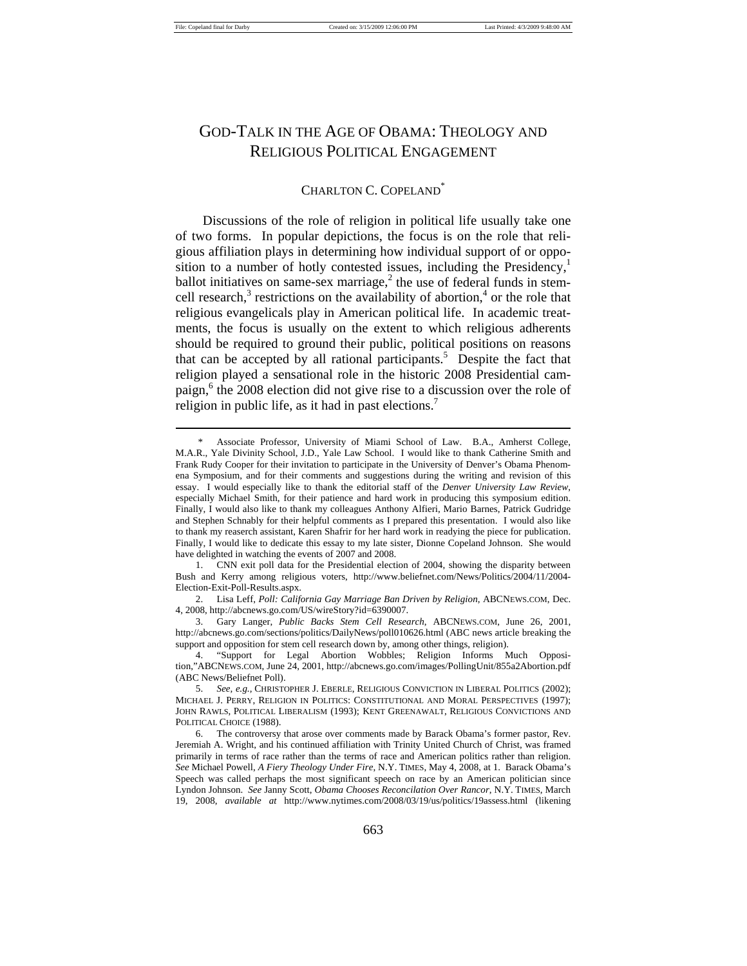# GOD-TALK IN THE AGE OF OBAMA: THEOLOGY AND RELIGIOUS POLITICAL ENGAGEMENT

### CHARLTON C. COPELAND<sup>®</sup>

Discussions of the role of religion in political life usually take one of two forms. In popular depictions, the focus is on the role that religious affiliation plays in determining how individual support of or opposition to a number of hotly contested issues, including the Presidency, $\frac{1}{1}$ ballot initiatives on same-sex marriage, $2$  the use of federal funds in stemcell research, $3$  restrictions on the availability of abortion, $4$  or the role that religious evangelicals play in American political life. In academic treatments, the focus is usually on the extent to which religious adherents should be required to ground their public, political positions on reasons that can be accepted by all rational participants.<sup>5</sup> Despite the fact that religion played a sensational role in the historic 2008 Presidential campaign,<sup>6</sup> the 2008 election did not give rise to a discussion over the role of religion in public life, as it had in past elections.<sup>7</sup>

Associate Professor, University of Miami School of Law. B.A., Amherst College, M.A.R., Yale Divinity School, J.D., Yale Law School. I would like to thank Catherine Smith and Frank Rudy Cooper for their invitation to participate in the University of Denver's Obama Phenomena Symposium, and for their comments and suggestions during the writing and revision of this essay. I would especially like to thank the editorial staff of the *Denver University Law Review*, especially Michael Smith, for their patience and hard work in producing this symposium edition. Finally, I would also like to thank my colleagues Anthony Alfieri, Mario Barnes, Patrick Gudridge and Stephen Schnably for their helpful comments as I prepared this presentation. I would also like to thank my reaserch assistant, Karen Shafrir for her hard work in readying the piece for publication. Finally, I would like to dedicate this essay to my late sister, Dionne Copeland Johnson. She would have delighted in watching the events of 2007 and 2008.

 <sup>1.</sup> CNN exit poll data for the Presidential election of 2004, showing the disparity between Bush and Kerry among religious voters, http://www.beliefnet.com/News/Politics/2004/11/2004- Election-Exit-Poll-Results.aspx.

 <sup>2.</sup> Lisa Leff, *Poll: California Gay Marriage Ban Driven by Religion*, ABCNEWS.COM, Dec. 4, 2008, http://abcnews.go.com/US/wireStory?id=6390007.

 <sup>3.</sup> Gary Langer, *Public Backs Stem Cell Research*, ABCNEWS.COM, June 26, 2001, http://abcnews.go.com/sections/politics/DailyNews/poll010626.html (ABC news article breaking the support and opposition for stem cell research down by, among other things, religion).

 <sup>4. &</sup>quot;Support for Legal Abortion Wobbles; Religion Informs Much Opposition,"ABCNEWS.COM, June 24, 2001, http://abcnews.go.com/images/PollingUnit/855a2Abortion.pdf (ABC News/Beliefnet Poll).

 <sup>5.</sup> *See, e.g.,* CHRISTOPHER J. EBERLE, RELIGIOUS CONVICTION IN LIBERAL POLITICS (2002); MICHAEL J. PERRY, RELIGION IN POLITICS: CONSTITUTIONAL AND MORAL PERSPECTIVES (1997); JOHN RAWLS, POLITICAL LIBERALISM (1993); KENT GREENAWALT, RELIGIOUS CONVICTIONS AND POLITICAL CHOICE (1988).

 <sup>6.</sup> The controversy that arose over comments made by Barack Obama's former pastor, Rev. Jeremiah A. Wright, and his continued affiliation with Trinity United Church of Christ, was framed primarily in terms of race rather than the terms of race and American politics rather than religion. *See* Michael Powell, *A Fiery Theology Under Fire*, N.Y. TIMES, May 4, 2008, at 1. Barack Obama's Speech was called perhaps the most significant speech on race by an American politician since Lyndon Johnson. *See* Janny Scott, *Obama Chooses Reconcilation Over Rancor*, N.Y. TIMES, March 19, 2008, *available at* http://www.nytimes.com/2008/03/19/us/politics/19assess.html (likening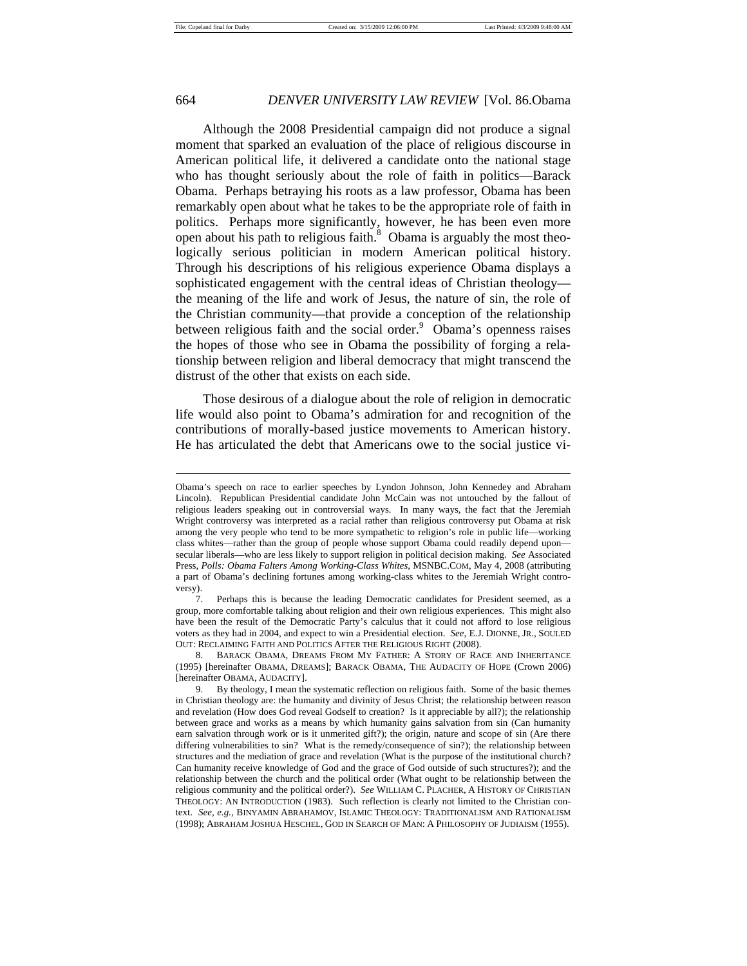# 664 *DENVER UNIVERSITY LAW REVIEW* [Vol. 86.Obama

Although the 2008 Presidential campaign did not produce a signal moment that sparked an evaluation of the place of religious discourse in American political life, it delivered a candidate onto the national stage who has thought seriously about the role of faith in politics—Barack Obama. Perhaps betraying his roots as a law professor, Obama has been remarkably open about what he takes to be the appropriate role of faith in politics. Perhaps more significantly, however, he has been even more open about his path to religious faith. $8$  Obama is arguably the most theologically serious politician in modern American political history. Through his descriptions of his religious experience Obama displays a sophisticated engagement with the central ideas of Christian theology the meaning of the life and work of Jesus, the nature of sin, the role of the Christian community—that provide a conception of the relationship between religious faith and the social order.<sup>9</sup> Obama's openness raises the hopes of those who see in Obama the possibility of forging a relationship between religion and liberal democracy that might transcend the distrust of the other that exists on each side.

Those desirous of a dialogue about the role of religion in democratic life would also point to Obama's admiration for and recognition of the contributions of morally-based justice movements to American history. He has articulated the debt that Americans owe to the social justice vi-

Obama's speech on race to earlier speeches by Lyndon Johnson, John Kennedey and Abraham Lincoln). Republican Presidential candidate John McCain was not untouched by the fallout of religious leaders speaking out in controversial ways. In many ways, the fact that the Jeremiah Wright controversy was interpreted as a racial rather than religious controversy put Obama at risk among the very people who tend to be more sympathetic to religion's role in public life—working class whites—rather than the group of people whose support Obama could readily depend upon secular liberals—who are less likely to support religion in political decision making. *See* Associated Press, *Polls: Obama Falters Among Working-Class Whites*, MSNBC.COM, May 4, 2008 (attributing a part of Obama's declining fortunes among working-class whites to the Jeremiah Wright controversy).

 <sup>7.</sup> Perhaps this is because the leading Democratic candidates for President seemed, as a group, more comfortable talking about religion and their own religious experiences. This might also have been the result of the Democratic Party's calculus that it could not afford to lose religious voters as they had in 2004, and expect to win a Presidential election. *See*, E.J. DIONNE, JR., SOULED OUT: RECLAIMING FAITH AND POLITICS AFTER THE RELIGIOUS RIGHT (2008).

 <sup>8.</sup> BARACK OBAMA, DREAMS FROM MY FATHER: A STORY OF RACE AND INHERITANCE (1995) [hereinafter OBAMA, DREAMS]; BARACK OBAMA, THE AUDACITY OF HOPE (Crown 2006) [hereinafter OBAMA, AUDACITY].

 <sup>9.</sup> By theology, I mean the systematic reflection on religious faith. Some of the basic themes in Christian theology are: the humanity and divinity of Jesus Christ; the relationship between reason and revelation (How does God reveal Godself to creation? Is it appreciable by all?); the relationship between grace and works as a means by which humanity gains salvation from sin (Can humanity earn salvation through work or is it unmerited gift?); the origin, nature and scope of sin (Are there differing vulnerabilities to sin? What is the remedy/consequence of sin?); the relationship between structures and the mediation of grace and revelation (What is the purpose of the institutional church? Can humanity receive knowledge of God and the grace of God outside of such structures?); and the relationship between the church and the political order (What ought to be relationship between the religious community and the political order?). *See* WILLIAM C. PLACHER, A HISTORY OF CHRISTIAN THEOLOGY: AN INTRODUCTION (1983). Such reflection is clearly not limited to the Christian context. *See, e.g.,* BINYAMIN ABRAHAMOV, ISLAMIC THEOLOGY: TRADITIONALISM AND RATIONALISM (1998); ABRAHAM JOSHUA HESCHEL, GOD IN SEARCH OF MAN: A PHILOSOPHY OF JUDIAISM (1955).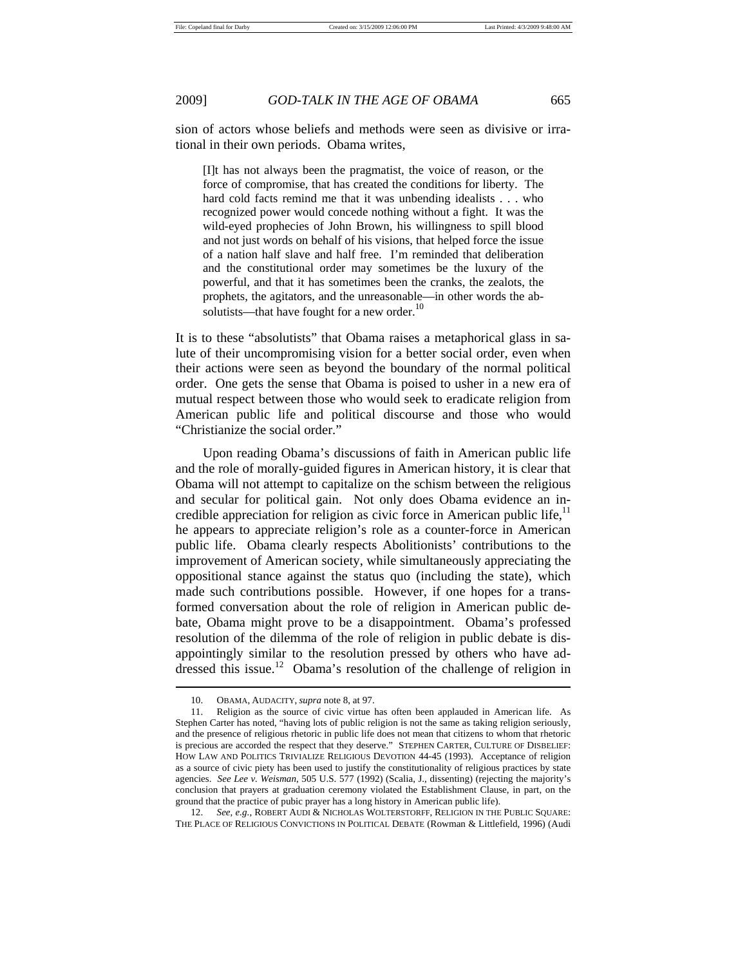sion of actors whose beliefs and methods were seen as divisive or irrational in their own periods. Obama writes,

[I]t has not always been the pragmatist, the voice of reason, or the force of compromise, that has created the conditions for liberty. The hard cold facts remind me that it was unbending idealists . . . who recognized power would concede nothing without a fight. It was the wild-eyed prophecies of John Brown, his willingness to spill blood and not just words on behalf of his visions, that helped force the issue of a nation half slave and half free. I'm reminded that deliberation and the constitutional order may sometimes be the luxury of the powerful, and that it has sometimes been the cranks, the zealots, the prophets, the agitators, and the unreasonable—in other words the absolutists—that have fought for a new order.<sup>10</sup>

It is to these "absolutists" that Obama raises a metaphorical glass in salute of their uncompromising vision for a better social order, even when their actions were seen as beyond the boundary of the normal political order. One gets the sense that Obama is poised to usher in a new era of mutual respect between those who would seek to eradicate religion from American public life and political discourse and those who would "Christianize the social order."

Upon reading Obama's discussions of faith in American public life and the role of morally-guided figures in American history, it is clear that Obama will not attempt to capitalize on the schism between the religious and secular for political gain. Not only does Obama evidence an incredible appreciation for religion as civic force in American public life, $<sup>11</sup>$ </sup> he appears to appreciate religion's role as a counter-force in American public life. Obama clearly respects Abolitionists' contributions to the improvement of American society, while simultaneously appreciating the oppositional stance against the status quo (including the state), which made such contributions possible. However, if one hopes for a transformed conversation about the role of religion in American public debate, Obama might prove to be a disappointment. Obama's professed resolution of the dilemma of the role of religion in public debate is disappointingly similar to the resolution pressed by others who have addressed this issue.<sup>12</sup> Obama's resolution of the challenge of religion in

12. See, e.g., ROBERT AUDI & NICHOLAS WOLTERSTORFF, RELIGION IN THE PUBLIC SQUARE: THE PLACE OF RELIGIOUS CONVICTIONS IN POLITICAL DEBATE (Rowman & Littlefield, 1996) (Audi

 <sup>10.</sup> OBAMA, AUDACITY, *supra* note 8, at 97.

 <sup>11.</sup> Religion as the source of civic virtue has often been applauded in American life. As Stephen Carter has noted, "having lots of public religion is not the same as taking religion seriously, and the presence of religious rhetoric in public life does not mean that citizens to whom that rhetoric is precious are accorded the respect that they deserve." STEPHEN CARTER, CULTURE OF DISBELIEF: HOW LAW AND POLITICS TRIVIALIZE RELIGIOUS DEVOTION 44-45 (1993). Acceptance of religion as a source of civic piety has been used to justify the constitutionality of religious practices by state agencies. *See Lee v. Weisman*, 505 U.S. 577 (1992) (Scalia, J., dissenting) (rejecting the majority's conclusion that prayers at graduation ceremony violated the Establishment Clause, in part, on the ground that the practice of pubic prayer has a long history in American public life).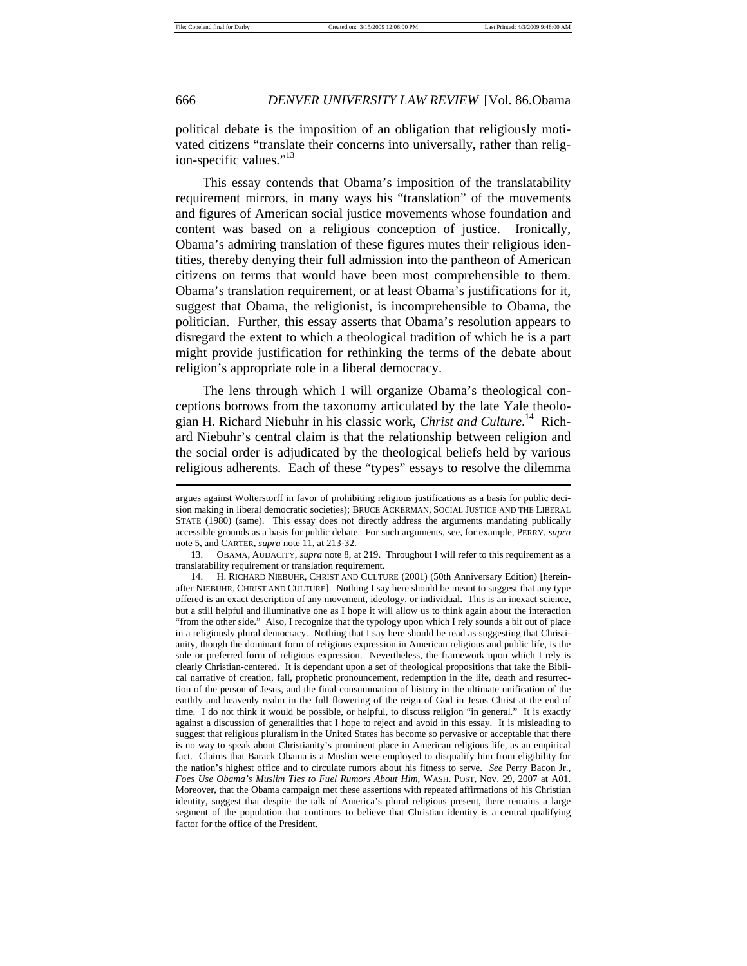political debate is the imposition of an obligation that religiously motivated citizens "translate their concerns into universally, rather than religion-specific values."<sup>13</sup>

This essay contends that Obama's imposition of the translatability requirement mirrors, in many ways his "translation" of the movements and figures of American social justice movements whose foundation and content was based on a religious conception of justice. Ironically, Obama's admiring translation of these figures mutes their religious identities, thereby denying their full admission into the pantheon of American citizens on terms that would have been most comprehensible to them. Obama's translation requirement, or at least Obama's justifications for it, suggest that Obama, the religionist, is incomprehensible to Obama, the politician. Further, this essay asserts that Obama's resolution appears to disregard the extent to which a theological tradition of which he is a part might provide justification for rethinking the terms of the debate about religion's appropriate role in a liberal democracy.

The lens through which I will organize Obama's theological conceptions borrows from the taxonomy articulated by the late Yale theologian H. Richard Niebuhr in his classic work, *Christ and Culture*. 14 Richard Niebuhr's central claim is that the relationship between religion and the social order is adjudicated by the theological beliefs held by various religious adherents. Each of these "types" essays to resolve the dilemma

argues against Wolterstorff in favor of prohibiting religious justifications as a basis for public decision making in liberal democratic societies); BRUCE ACKERMAN, SOCIAL JUSTICE AND THE LIBERAL STATE (1980) (same). This essay does not directly address the arguments mandating publically accessible grounds as a basis for public debate. For such arguments, see, for example, PERRY, *supra*  note 5, and CARTER, *supra* note 11, at 213-32.

 <sup>13.</sup> OBAMA, AUDACITY, *supra* note 8, at 219. Throughout I will refer to this requirement as a translatability requirement or translation requirement.

 <sup>14.</sup> H. RICHARD NIEBUHR, CHRIST AND CULTURE (2001) (50th Anniversary Edition) [hereinafter NIEBUHR, CHRIST AND CULTURE]. Nothing I say here should be meant to suggest that any type offered is an exact description of any movement, ideology, or individual. This is an inexact science, but a still helpful and illuminative one as I hope it will allow us to think again about the interaction "from the other side." Also, I recognize that the typology upon which I rely sounds a bit out of place in a religiously plural democracy. Nothing that I say here should be read as suggesting that Christianity, though the dominant form of religious expression in American religious and public life, is the sole or preferred form of religious expression. Nevertheless, the framework upon which I rely is clearly Christian-centered. It is dependant upon a set of theological propositions that take the Biblical narrative of creation, fall, prophetic pronouncement, redemption in the life, death and resurrection of the person of Jesus, and the final consummation of history in the ultimate unification of the earthly and heavenly realm in the full flowering of the reign of God in Jesus Christ at the end of time. I do not think it would be possible, or helpful, to discuss religion "in general." It is exactly against a discussion of generalities that I hope to reject and avoid in this essay. It is misleading to suggest that religious pluralism in the United States has become so pervasive or acceptable that there is no way to speak about Christianity's prominent place in American religious life, as an empirical fact. Claims that Barack Obama is a Muslim were employed to disqualify him from eligibility for the nation's highest office and to circulate rumors about his fitness to serve. *See* Perry Bacon Jr., *Foes Use Obama's Muslim Ties to Fuel Rumors About Him*, WASH. POST, Nov. 29, 2007 at A01. Moreover, that the Obama campaign met these assertions with repeated affirmations of his Christian identity, suggest that despite the talk of America's plural religious present, there remains a large segment of the population that continues to believe that Christian identity is a central qualifying factor for the office of the President.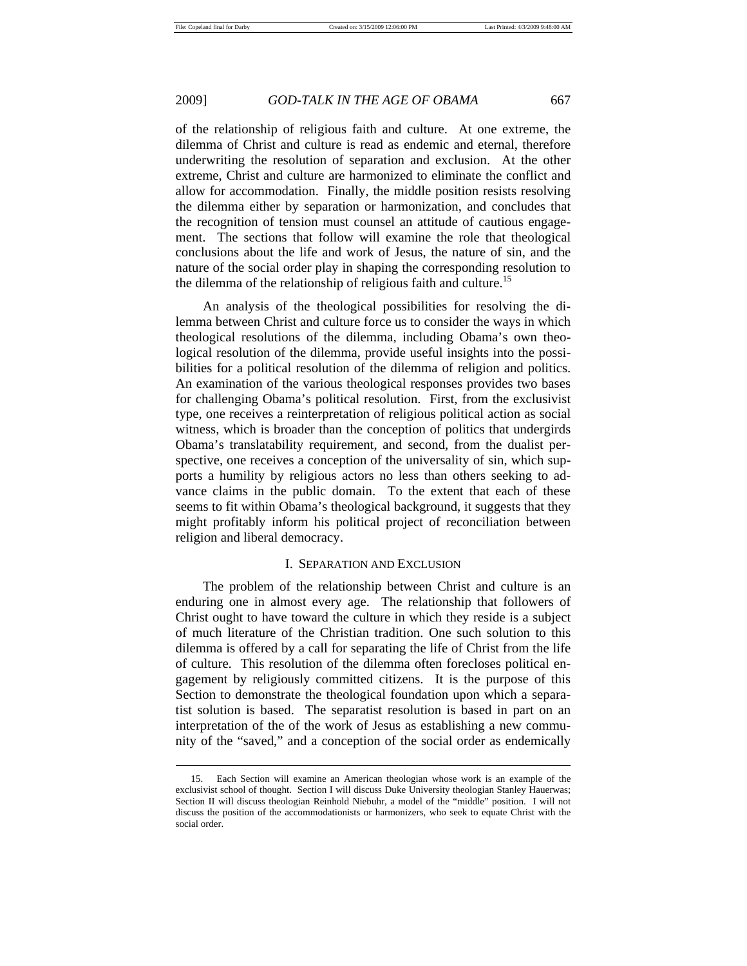### 2009] *GOD-TALK IN THE AGE OF OBAMA* 667

of the relationship of religious faith and culture. At one extreme, the dilemma of Christ and culture is read as endemic and eternal, therefore underwriting the resolution of separation and exclusion. At the other extreme, Christ and culture are harmonized to eliminate the conflict and allow for accommodation. Finally, the middle position resists resolving the dilemma either by separation or harmonization, and concludes that the recognition of tension must counsel an attitude of cautious engagement. The sections that follow will examine the role that theological conclusions about the life and work of Jesus, the nature of sin, and the nature of the social order play in shaping the corresponding resolution to the dilemma of the relationship of religious faith and culture.<sup>15</sup>

An analysis of the theological possibilities for resolving the dilemma between Christ and culture force us to consider the ways in which theological resolutions of the dilemma, including Obama's own theological resolution of the dilemma, provide useful insights into the possibilities for a political resolution of the dilemma of religion and politics. An examination of the various theological responses provides two bases for challenging Obama's political resolution. First, from the exclusivist type, one receives a reinterpretation of religious political action as social witness, which is broader than the conception of politics that undergirds Obama's translatability requirement, and second, from the dualist perspective, one receives a conception of the universality of sin, which supports a humility by religious actors no less than others seeking to advance claims in the public domain. To the extent that each of these seems to fit within Obama's theological background, it suggests that they might profitably inform his political project of reconciliation between religion and liberal democracy.

### I. SEPARATION AND EXCLUSION

The problem of the relationship between Christ and culture is an enduring one in almost every age. The relationship that followers of Christ ought to have toward the culture in which they reside is a subject of much literature of the Christian tradition. One such solution to this dilemma is offered by a call for separating the life of Christ from the life of culture. This resolution of the dilemma often forecloses political engagement by religiously committed citizens. It is the purpose of this Section to demonstrate the theological foundation upon which a separatist solution is based. The separatist resolution is based in part on an interpretation of the of the work of Jesus as establishing a new community of the "saved," and a conception of the social order as endemically

 <sup>15.</sup> Each Section will examine an American theologian whose work is an example of the exclusivist school of thought. Section I will discuss Duke University theologian Stanley Hauerwas; Section II will discuss theologian Reinhold Niebuhr, a model of the "middle" position. I will not discuss the position of the accommodationists or harmonizers, who seek to equate Christ with the social order.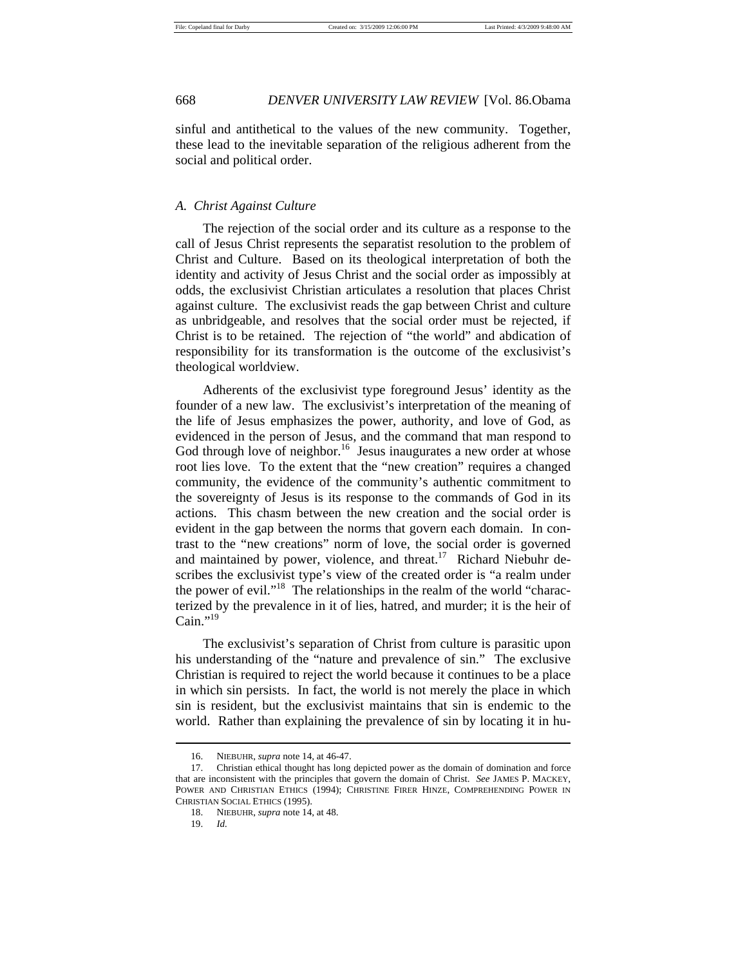sinful and antithetical to the values of the new community. Together, these lead to the inevitable separation of the religious adherent from the social and political order.

### *A. Christ Against Culture*

The rejection of the social order and its culture as a response to the call of Jesus Christ represents the separatist resolution to the problem of Christ and Culture. Based on its theological interpretation of both the identity and activity of Jesus Christ and the social order as impossibly at odds, the exclusivist Christian articulates a resolution that places Christ against culture. The exclusivist reads the gap between Christ and culture as unbridgeable, and resolves that the social order must be rejected, if Christ is to be retained. The rejection of "the world" and abdication of responsibility for its transformation is the outcome of the exclusivist's theological worldview.

Adherents of the exclusivist type foreground Jesus' identity as the founder of a new law. The exclusivist's interpretation of the meaning of the life of Jesus emphasizes the power, authority, and love of God, as evidenced in the person of Jesus, and the command that man respond to God through love of neighbor.<sup>16</sup> Jesus inaugurates a new order at whose root lies love. To the extent that the "new creation" requires a changed community, the evidence of the community's authentic commitment to the sovereignty of Jesus is its response to the commands of God in its actions. This chasm between the new creation and the social order is evident in the gap between the norms that govern each domain. In contrast to the "new creations" norm of love, the social order is governed and maintained by power, violence, and threat.<sup>17</sup> Richard Niebuhr describes the exclusivist type's view of the created order is "a realm under the power of evil."<sup>18</sup> The relationships in the realm of the world "characterized by the prevalence in it of lies, hatred, and murder; it is the heir of Cain." $^{19}$ 

The exclusivist's separation of Christ from culture is parasitic upon his understanding of the "nature and prevalence of sin." The exclusive Christian is required to reject the world because it continues to be a place in which sin persists. In fact, the world is not merely the place in which sin is resident, but the exclusivist maintains that sin is endemic to the world. Rather than explaining the prevalence of sin by locating it in hu-

 <sup>16.</sup> NIEBUHR, *supra* note 14*,* at 46-47.

 <sup>17.</sup> Christian ethical thought has long depicted power as the domain of domination and force that are inconsistent with the principles that govern the domain of Christ. *See* JAMES P. MACKEY, POWER AND CHRISTIAN ETHICS (1994); CHRISTINE FIRER HINZE, COMPREHENDING POWER IN CHRISTIAN SOCIAL ETHICS (1995).

 <sup>18.</sup> NIEBUHR, *supra* note 14, at 48.

 <sup>19.</sup> *Id.*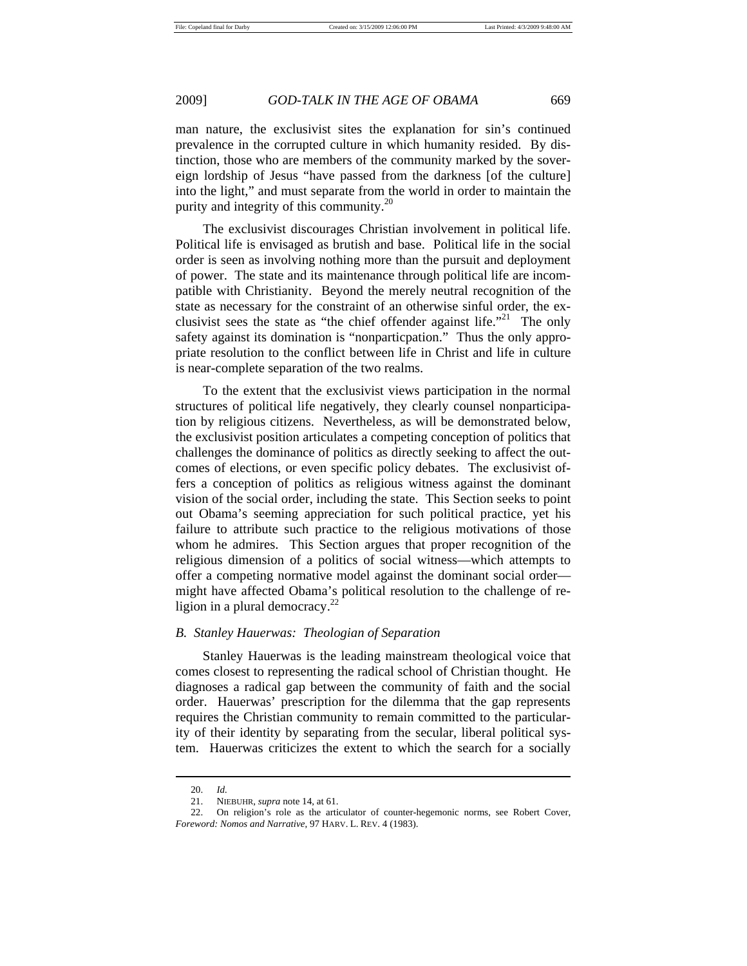man nature, the exclusivist sites the explanation for sin's continued prevalence in the corrupted culture in which humanity resided. By distinction, those who are members of the community marked by the sovereign lordship of Jesus "have passed from the darkness [of the culture] into the light," and must separate from the world in order to maintain the purity and integrity of this community.<sup>20</sup>

The exclusivist discourages Christian involvement in political life. Political life is envisaged as brutish and base. Political life in the social order is seen as involving nothing more than the pursuit and deployment of power. The state and its maintenance through political life are incompatible with Christianity. Beyond the merely neutral recognition of the state as necessary for the constraint of an otherwise sinful order, the exclusivist sees the state as "the chief offender against life."<sup>21</sup> The only safety against its domination is "nonparticpation." Thus the only appropriate resolution to the conflict between life in Christ and life in culture is near-complete separation of the two realms.

To the extent that the exclusivist views participation in the normal structures of political life negatively, they clearly counsel nonparticipation by religious citizens. Nevertheless, as will be demonstrated below, the exclusivist position articulates a competing conception of politics that challenges the dominance of politics as directly seeking to affect the outcomes of elections, or even specific policy debates. The exclusivist offers a conception of politics as religious witness against the dominant vision of the social order, including the state. This Section seeks to point out Obama's seeming appreciation for such political practice, yet his failure to attribute such practice to the religious motivations of those whom he admires. This Section argues that proper recognition of the religious dimension of a politics of social witness—which attempts to offer a competing normative model against the dominant social order might have affected Obama's political resolution to the challenge of religion in a plural democracy. $^{22}$ 

### *B. Stanley Hauerwas: Theologian of Separation*

Stanley Hauerwas is the leading mainstream theological voice that comes closest to representing the radical school of Christian thought. He diagnoses a radical gap between the community of faith and the social order. Hauerwas' prescription for the dilemma that the gap represents requires the Christian community to remain committed to the particularity of their identity by separating from the secular, liberal political system. Hauerwas criticizes the extent to which the search for a socially

 <sup>20.</sup> *Id.* 

 <sup>21.</sup> NIEBUHR, *supra* note 14, at 61.

 <sup>22.</sup> On religion's role as the articulator of counter-hegemonic norms, see Robert Cover, *Foreword: Nomos and Narrative*, 97 HARV. L. REV. 4 (1983).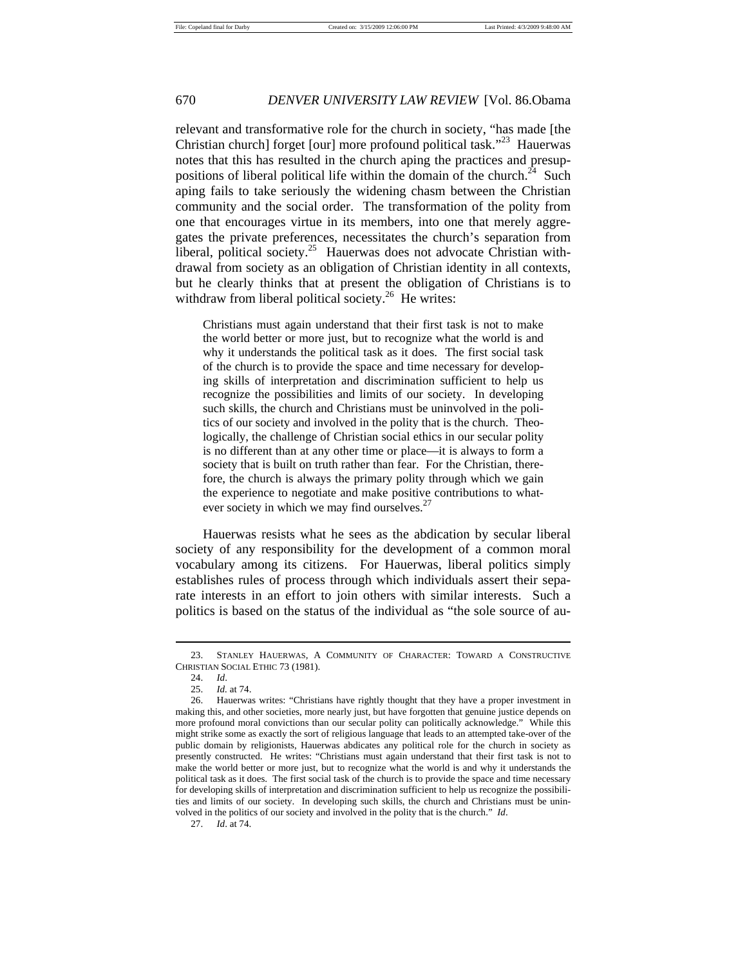relevant and transformative role for the church in society, "has made [the Christian church] forget [our] more profound political task."23 Hauerwas notes that this has resulted in the church aping the practices and presuppositions of liberal political life within the domain of the church.<sup>24</sup> Such aping fails to take seriously the widening chasm between the Christian community and the social order. The transformation of the polity from one that encourages virtue in its members, into one that merely aggregates the private preferences, necessitates the church's separation from liberal, political society.<sup>25</sup> Hauerwas does not advocate Christian withdrawal from society as an obligation of Christian identity in all contexts, but he clearly thinks that at present the obligation of Christians is to withdraw from liberal political society.<sup>26</sup> He writes:

Christians must again understand that their first task is not to make the world better or more just, but to recognize what the world is and why it understands the political task as it does. The first social task of the church is to provide the space and time necessary for developing skills of interpretation and discrimination sufficient to help us recognize the possibilities and limits of our society. In developing such skills, the church and Christians must be uninvolved in the politics of our society and involved in the polity that is the church. Theologically, the challenge of Christian social ethics in our secular polity is no different than at any other time or place—it is always to form a society that is built on truth rather than fear. For the Christian, therefore, the church is always the primary polity through which we gain the experience to negotiate and make positive contributions to whatever society in which we may find ourselves.<sup>27</sup>

Hauerwas resists what he sees as the abdication by secular liberal society of any responsibility for the development of a common moral vocabulary among its citizens. For Hauerwas, liberal politics simply establishes rules of process through which individuals assert their separate interests in an effort to join others with similar interests. Such a politics is based on the status of the individual as "the sole source of au-

 $\overline{a}$ 

27. *Id*. at 74.

 <sup>23.</sup> STANLEY HAUERWAS, A COMMUNITY OF CHARACTER: TOWARD A CONSTRUCTIVE CHRISTIAN SOCIAL ETHIC 73 (1981).

 <sup>24.</sup> *Id*.

 <sup>25.</sup> *Id.* at 74.

 <sup>26.</sup> Hauerwas writes: "Christians have rightly thought that they have a proper investment in making this, and other societies, more nearly just, but have forgotten that genuine justice depends on more profound moral convictions than our secular polity can politically acknowledge." While this might strike some as exactly the sort of religious language that leads to an attempted take-over of the public domain by religionists, Hauerwas abdicates any political role for the church in society as presently constructed. He writes: "Christians must again understand that their first task is not to make the world better or more just, but to recognize what the world is and why it understands the political task as it does. The first social task of the church is to provide the space and time necessary for developing skills of interpretation and discrimination sufficient to help us recognize the possibilities and limits of our society. In developing such skills, the church and Christians must be uninvolved in the politics of our society and involved in the polity that is the church." *Id*.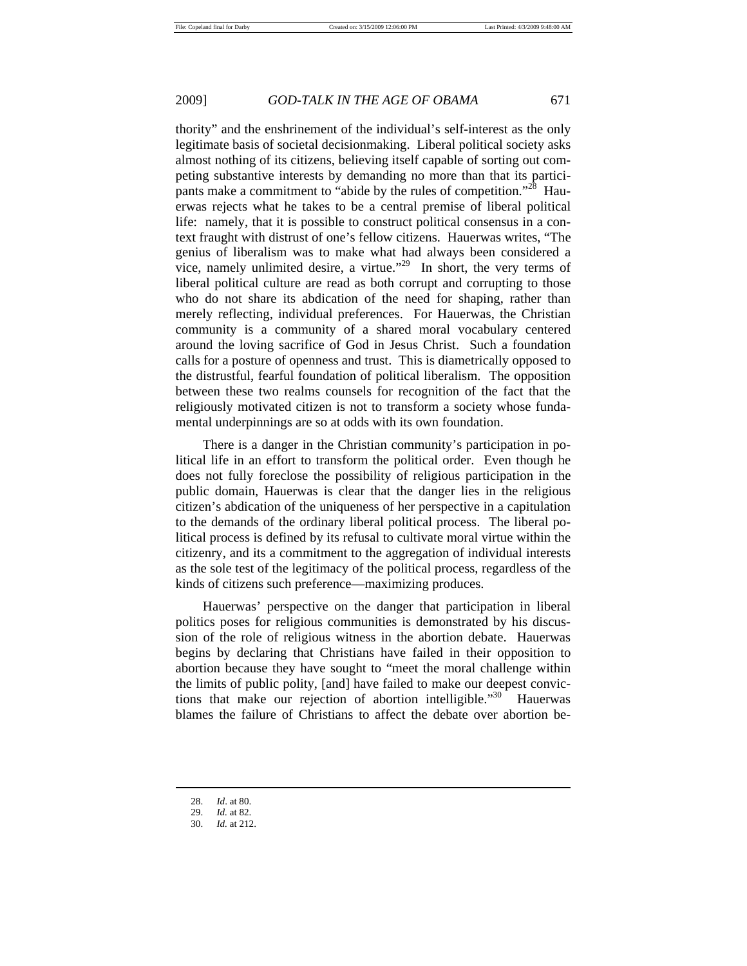thority" and the enshrinement of the individual's self-interest as the only legitimate basis of societal decisionmaking. Liberal political society asks almost nothing of its citizens, believing itself capable of sorting out competing substantive interests by demanding no more than that its participants make a commitment to "abide by the rules of competition."<sup>28</sup> Hauerwas rejects what he takes to be a central premise of liberal political life: namely, that it is possible to construct political consensus in a context fraught with distrust of one's fellow citizens. Hauerwas writes, "The genius of liberalism was to make what had always been considered a vice, namely unlimited desire, a virtue."<sup>29</sup> In short, the very terms of liberal political culture are read as both corrupt and corrupting to those who do not share its abdication of the need for shaping, rather than merely reflecting, individual preferences. For Hauerwas, the Christian community is a community of a shared moral vocabulary centered around the loving sacrifice of God in Jesus Christ. Such a foundation calls for a posture of openness and trust. This is diametrically opposed to the distrustful, fearful foundation of political liberalism. The opposition between these two realms counsels for recognition of the fact that the religiously motivated citizen is not to transform a society whose fundamental underpinnings are so at odds with its own foundation.

There is a danger in the Christian community's participation in political life in an effort to transform the political order. Even though he does not fully foreclose the possibility of religious participation in the public domain, Hauerwas is clear that the danger lies in the religious citizen's abdication of the uniqueness of her perspective in a capitulation to the demands of the ordinary liberal political process. The liberal political process is defined by its refusal to cultivate moral virtue within the citizenry, and its a commitment to the aggregation of individual interests as the sole test of the legitimacy of the political process, regardless of the kinds of citizens such preference—maximizing produces.

Hauerwas' perspective on the danger that participation in liberal politics poses for religious communities is demonstrated by his discussion of the role of religious witness in the abortion debate. Hauerwas begins by declaring that Christians have failed in their opposition to abortion because they have sought to "meet the moral challenge within the limits of public polity, [and] have failed to make our deepest convictions that make our rejection of abortion intelligible."<sup>30</sup> Hauerwas blames the failure of Christians to affect the debate over abortion be-

 <sup>28.</sup> *Id*. at 80.

 <sup>29.</sup> *Id.* at 82.

 <sup>30.</sup> *Id.* at 212.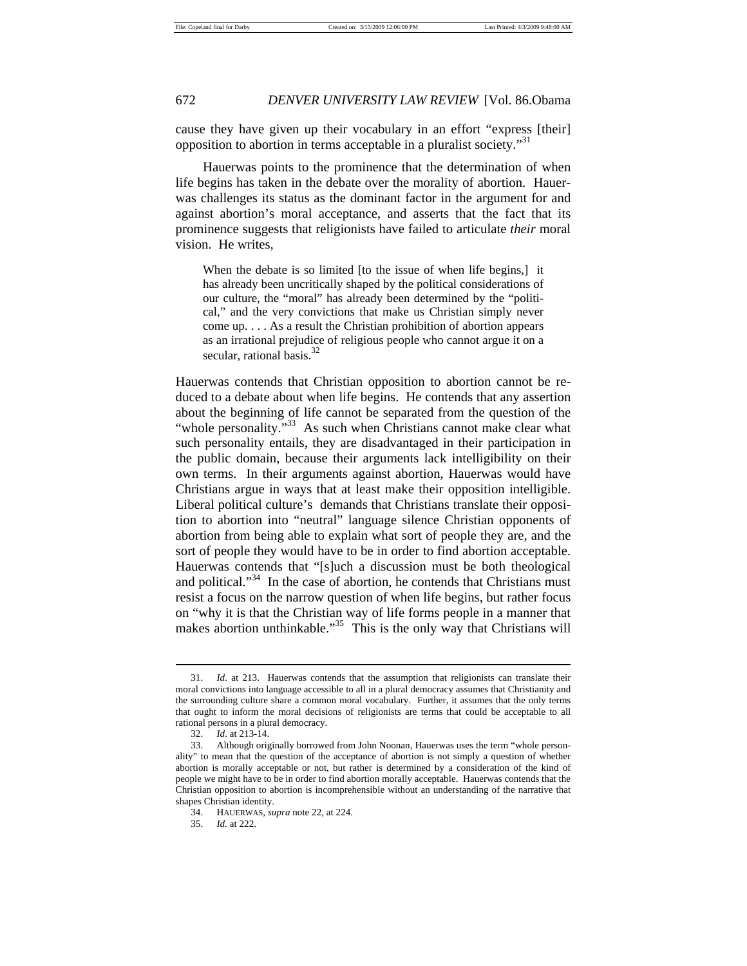cause they have given up their vocabulary in an effort "express [their] opposition to abortion in terms acceptable in a pluralist society."<sup>31</sup>

Hauerwas points to the prominence that the determination of when life begins has taken in the debate over the morality of abortion. Hauerwas challenges its status as the dominant factor in the argument for and against abortion's moral acceptance, and asserts that the fact that its prominence suggests that religionists have failed to articulate *their* moral vision. He writes,

When the debate is so limited [to the issue of when life begins,] it has already been uncritically shaped by the political considerations of our culture, the "moral" has already been determined by the "political," and the very convictions that make us Christian simply never come up. . . . As a result the Christian prohibition of abortion appears as an irrational prejudice of religious people who cannot argue it on a secular, rational basis.<sup>32</sup>

Hauerwas contends that Christian opposition to abortion cannot be reduced to a debate about when life begins. He contends that any assertion about the beginning of life cannot be separated from the question of the "whole personality."<sup>33</sup> As such when Christians cannot make clear what such personality entails, they are disadvantaged in their participation in the public domain, because their arguments lack intelligibility on their own terms. In their arguments against abortion, Hauerwas would have Christians argue in ways that at least make their opposition intelligible. Liberal political culture's demands that Christians translate their opposition to abortion into "neutral" language silence Christian opponents of abortion from being able to explain what sort of people they are, and the sort of people they would have to be in order to find abortion acceptable. Hauerwas contends that "[s]uch a discussion must be both theological and political."<sup>34</sup> In the case of abortion, he contends that Christians must resist a focus on the narrow question of when life begins, but rather focus on "why it is that the Christian way of life forms people in a manner that makes abortion unthinkable."<sup>35</sup> This is the only way that Christians will

 <sup>31.</sup> *Id*. at 213. Hauerwas contends that the assumption that religionists can translate their moral convictions into language accessible to all in a plural democracy assumes that Christianity and the surrounding culture share a common moral vocabulary. Further, it assumes that the only terms that ought to inform the moral decisions of religionists are terms that could be acceptable to all rational persons in a plural democracy.

 <sup>32.</sup> *Id*. at 213-14.

 <sup>33.</sup> Although originally borrowed from John Noonan, Hauerwas uses the term "whole personality" to mean that the question of the acceptance of abortion is not simply a question of whether abortion is morally acceptable or not, but rather is determined by a consideration of the kind of people we might have to be in order to find abortion morally acceptable. Hauerwas contends that the Christian opposition to abortion is incomprehensible without an understanding of the narrative that shapes Christian identity.

 <sup>34.</sup> HAUERWAS, *supra* note 22, at 224.

 <sup>35.</sup> *Id.* at 222.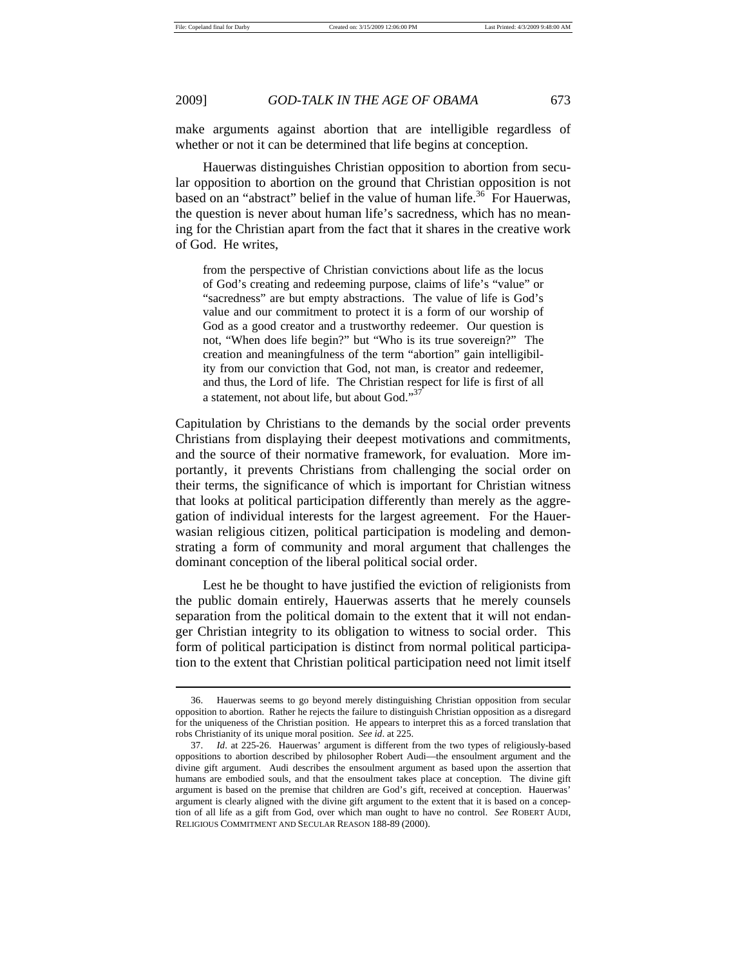2009] *GOD-TALK IN THE AGE OF OBAMA* 673

make arguments against abortion that are intelligible regardless of whether or not it can be determined that life begins at conception.

Hauerwas distinguishes Christian opposition to abortion from secular opposition to abortion on the ground that Christian opposition is not based on an "abstract" belief in the value of human life.<sup>36</sup> For Hauerwas, the question is never about human life's sacredness, which has no meaning for the Christian apart from the fact that it shares in the creative work of God. He writes,

from the perspective of Christian convictions about life as the locus of God's creating and redeeming purpose, claims of life's "value" or "sacredness" are but empty abstractions. The value of life is God's value and our commitment to protect it is a form of our worship of God as a good creator and a trustworthy redeemer. Our question is not, "When does life begin?" but "Who is its true sovereign?" The creation and meaningfulness of the term "abortion" gain intelligibility from our conviction that God, not man, is creator and redeemer, and thus, the Lord of life. The Christian respect for life is first of all a statement, not about life, but about God."<sup>37</sup>

Capitulation by Christians to the demands by the social order prevents Christians from displaying their deepest motivations and commitments, and the source of their normative framework, for evaluation. More importantly, it prevents Christians from challenging the social order on their terms, the significance of which is important for Christian witness that looks at political participation differently than merely as the aggregation of individual interests for the largest agreement. For the Hauerwasian religious citizen, political participation is modeling and demonstrating a form of community and moral argument that challenges the dominant conception of the liberal political social order.

Lest he be thought to have justified the eviction of religionists from the public domain entirely, Hauerwas asserts that he merely counsels separation from the political domain to the extent that it will not endanger Christian integrity to its obligation to witness to social order. This form of political participation is distinct from normal political participation to the extent that Christian political participation need not limit itself

 <sup>36.</sup> Hauerwas seems to go beyond merely distinguishing Christian opposition from secular opposition to abortion. Rather he rejects the failure to distinguish Christian opposition as a disregard for the uniqueness of the Christian position. He appears to interpret this as a forced translation that robs Christianity of its unique moral position. *See id*. at 225.

 <sup>37.</sup> *Id*. at 225-26. Hauerwas' argument is different from the two types of religiously-based oppositions to abortion described by philosopher Robert Audi—the ensoulment argument and the divine gift argument. Audi describes the ensoulment argument as based upon the assertion that humans are embodied souls, and that the ensoulment takes place at conception. The divine gift argument is based on the premise that children are God's gift, received at conception. Hauerwas' argument is clearly aligned with the divine gift argument to the extent that it is based on a conception of all life as a gift from God, over which man ought to have no control. *See* ROBERT AUDI, RELIGIOUS COMMITMENT AND SECULAR REASON 188-89 (2000).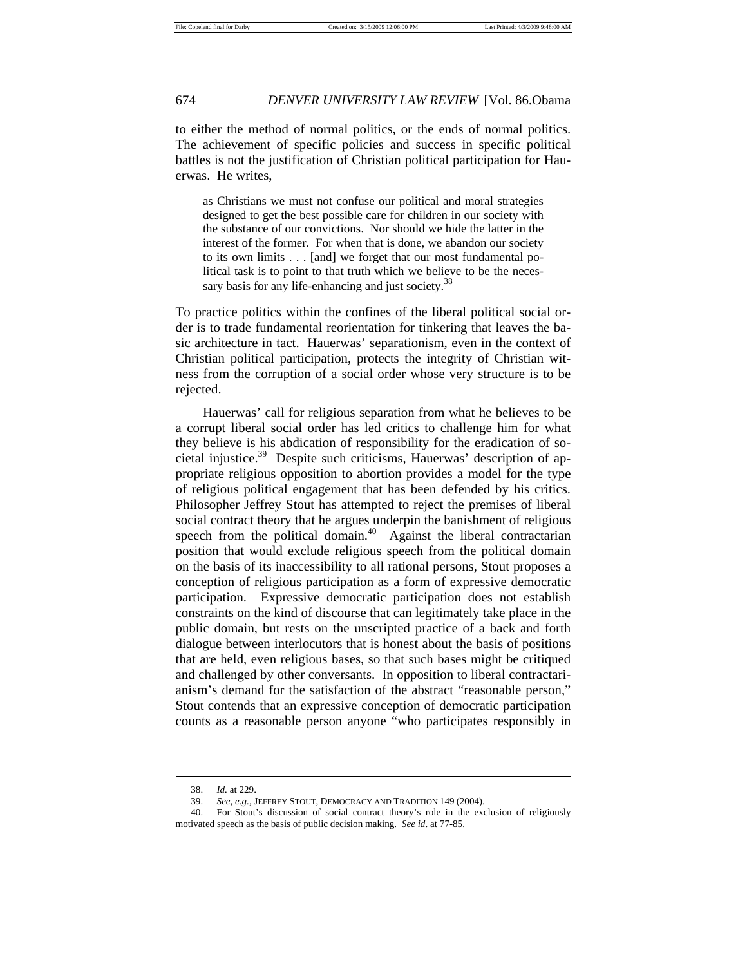to either the method of normal politics, or the ends of normal politics. The achievement of specific policies and success in specific political battles is not the justification of Christian political participation for Hauerwas. He writes,

as Christians we must not confuse our political and moral strategies designed to get the best possible care for children in our society with the substance of our convictions. Nor should we hide the latter in the interest of the former. For when that is done, we abandon our society to its own limits . . . [and] we forget that our most fundamental political task is to point to that truth which we believe to be the necessary basis for any life-enhancing and just society.<sup>38</sup>

To practice politics within the confines of the liberal political social order is to trade fundamental reorientation for tinkering that leaves the basic architecture in tact. Hauerwas' separationism, even in the context of Christian political participation, protects the integrity of Christian witness from the corruption of a social order whose very structure is to be rejected.

Hauerwas' call for religious separation from what he believes to be a corrupt liberal social order has led critics to challenge him for what they believe is his abdication of responsibility for the eradication of societal injustice.<sup>39</sup> Despite such criticisms, Hauerwas' description of appropriate religious opposition to abortion provides a model for the type of religious political engagement that has been defended by his critics. Philosopher Jeffrey Stout has attempted to reject the premises of liberal social contract theory that he argues underpin the banishment of religious speech from the political domain.<sup>40</sup> Against the liberal contractarian position that would exclude religious speech from the political domain on the basis of its inaccessibility to all rational persons, Stout proposes a conception of religious participation as a form of expressive democratic participation. Expressive democratic participation does not establish constraints on the kind of discourse that can legitimately take place in the public domain, but rests on the unscripted practice of a back and forth dialogue between interlocutors that is honest about the basis of positions that are held, even religious bases, so that such bases might be critiqued and challenged by other conversants. In opposition to liberal contractarianism's demand for the satisfaction of the abstract "reasonable person," Stout contends that an expressive conception of democratic participation counts as a reasonable person anyone "who participates responsibly in

 <sup>38.</sup> *Id.* at 229.

 <sup>39.</sup> *See, e.g.,* JEFFREY STOUT, DEMOCRACY AND TRADITION 149 (2004).

 <sup>40.</sup> For Stout's discussion of social contract theory's role in the exclusion of religiously motivated speech as the basis of public decision making. *See id*. at 77-85.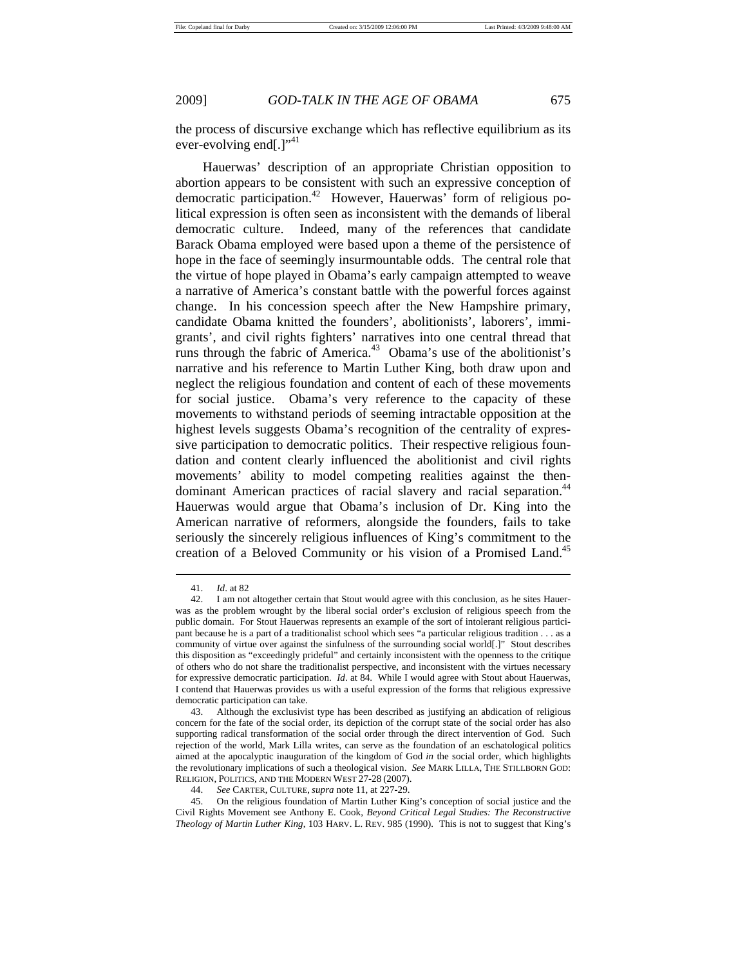the process of discursive exchange which has reflective equilibrium as its ever-evolving end $[.]$ <sup>"41</sup>

Hauerwas' description of an appropriate Christian opposition to abortion appears to be consistent with such an expressive conception of democratic participation.42 However, Hauerwas' form of religious political expression is often seen as inconsistent with the demands of liberal democratic culture. Indeed, many of the references that candidate Barack Obama employed were based upon a theme of the persistence of hope in the face of seemingly insurmountable odds. The central role that the virtue of hope played in Obama's early campaign attempted to weave a narrative of America's constant battle with the powerful forces against change. In his concession speech after the New Hampshire primary, candidate Obama knitted the founders', abolitionists', laborers', immigrants', and civil rights fighters' narratives into one central thread that runs through the fabric of America.<sup>43</sup> Obama's use of the abolitionist's narrative and his reference to Martin Luther King, both draw upon and neglect the religious foundation and content of each of these movements for social justice. Obama's very reference to the capacity of these movements to withstand periods of seeming intractable opposition at the highest levels suggests Obama's recognition of the centrality of expressive participation to democratic politics. Their respective religious foundation and content clearly influenced the abolitionist and civil rights movements' ability to model competing realities against the thendominant American practices of racial slavery and racial separation.<sup>44</sup> Hauerwas would argue that Obama's inclusion of Dr. King into the American narrative of reformers, alongside the founders, fails to take seriously the sincerely religious influences of King's commitment to the creation of a Beloved Community or his vision of a Promised Land.<sup>45</sup>

 <sup>41.</sup> *Id*. at 82

 <sup>42.</sup> I am not altogether certain that Stout would agree with this conclusion, as he sites Hauerwas as the problem wrought by the liberal social order's exclusion of religious speech from the public domain. For Stout Hauerwas represents an example of the sort of intolerant religious participant because he is a part of a traditionalist school which sees "a particular religious tradition . . . as a community of virtue over against the sinfulness of the surrounding social world[.]" Stout describes this disposition as "exceedingly prideful" and certainly inconsistent with the openness to the critique of others who do not share the traditionalist perspective, and inconsistent with the virtues necessary for expressive democratic participation. *Id*. at 84. While I would agree with Stout about Hauerwas, I contend that Hauerwas provides us with a useful expression of the forms that religious expressive democratic participation can take.

 <sup>43.</sup> Although the exclusivist type has been described as justifying an abdication of religious concern for the fate of the social order, its depiction of the corrupt state of the social order has also supporting radical transformation of the social order through the direct intervention of God. Such rejection of the world, Mark Lilla writes, can serve as the foundation of an eschatological politics aimed at the apocalyptic inauguration of the kingdom of God *in* the social order, which highlights the revolutionary implications of such a theological vision. *See* MARK LILLA, THE STILLBORN GOD: RELIGION, POLITICS, AND THE MODERN WEST 27-28 (2007).

 <sup>44.</sup> *See* CARTER, CULTURE, *supra* note 11, at 227-29.

 <sup>45.</sup> On the religious foundation of Martin Luther King's conception of social justice and the Civil Rights Movement see Anthony E. Cook, *Beyond Critical Legal Studies: The Reconstructive Theology of Martin Luther King*, 103 HARV. L. REV. 985 (1990). This is not to suggest that King's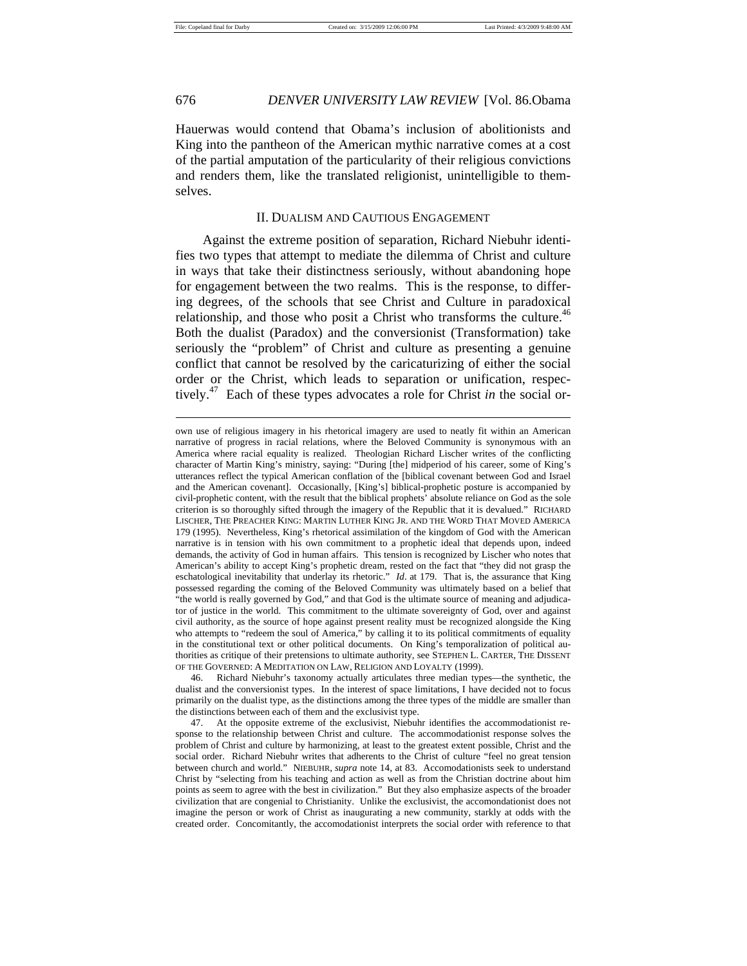## 676 *DENVER UNIVERSITY LAW REVIEW* [Vol. 86.Obama

Hauerwas would contend that Obama's inclusion of abolitionists and King into the pantheon of the American mythic narrative comes at a cost of the partial amputation of the particularity of their religious convictions and renders them, like the translated religionist, unintelligible to themselves.

### II. DUALISM AND CAUTIOUS ENGAGEMENT

Against the extreme position of separation, Richard Niebuhr identifies two types that attempt to mediate the dilemma of Christ and culture in ways that take their distinctness seriously, without abandoning hope for engagement between the two realms. This is the response, to differing degrees, of the schools that see Christ and Culture in paradoxical relationship, and those who posit a Christ who transforms the culture.<sup>46</sup> Both the dualist (Paradox) and the conversionist (Transformation) take seriously the "problem" of Christ and culture as presenting a genuine conflict that cannot be resolved by the caricaturizing of either the social order or the Christ, which leads to separation or unification, respectively.47 Each of these types advocates a role for Christ *in* the social or-

own use of religious imagery in his rhetorical imagery are used to neatly fit within an American narrative of progress in racial relations, where the Beloved Community is synonymous with an America where racial equality is realized. Theologian Richard Lischer writes of the conflicting character of Martin King's ministry, saying: "During [the] midperiod of his career, some of King's utterances reflect the typical American conflation of the [biblical covenant between God and Israel and the American covenant]. Occasionally, [King's] biblical-prophetic posture is accompanied by civil-prophetic content, with the result that the biblical prophets' absolute reliance on God as the sole criterion is so thoroughly sifted through the imagery of the Republic that it is devalued." RICHARD LISCHER, THE PREACHER KING: MARTIN LUTHER KING JR. AND THE WORD THAT MOVED AMERICA 179 (1995). Nevertheless, King's rhetorical assimilation of the kingdom of God with the American narrative is in tension with his own commitment to a prophetic ideal that depends upon, indeed demands, the activity of God in human affairs. This tension is recognized by Lischer who notes that American's ability to accept King's prophetic dream, rested on the fact that "they did not grasp the eschatological inevitability that underlay its rhetoric." *Id*. at 179. That is, the assurance that King possessed regarding the coming of the Beloved Community was ultimately based on a belief that "the world is really governed by God," and that God is the ultimate source of meaning and adjudicator of justice in the world. This commitment to the ultimate sovereignty of God, over and against civil authority, as the source of hope against present reality must be recognized alongside the King who attempts to "redeem the soul of America," by calling it to its political commitments of equality in the constitutional text or other political documents. On King's temporalization of political authorities as critique of their pretensions to ultimate authority, see STEPHEN L. CARTER, THE DISSENT OF THE GOVERNED: A MEDITATION ON LAW, RELIGION AND LOYALTY (1999).

 <sup>46.</sup> Richard Niebuhr's taxonomy actually articulates three median types—the synthetic, the dualist and the conversionist types. In the interest of space limitations, I have decided not to focus primarily on the dualist type, as the distinctions among the three types of the middle are smaller than the distinctions between each of them and the exclusivist type.

 <sup>47.</sup> At the opposite extreme of the exclusivist, Niebuhr identifies the accommodationist response to the relationship between Christ and culture. The accommodationist response solves the problem of Christ and culture by harmonizing, at least to the greatest extent possible, Christ and the social order. Richard Niebuhr writes that adherents to the Christ of culture "feel no great tension between church and world." NIEBUHR, *supra* note 14, at 83. Accomodationists seek to understand Christ by "selecting from his teaching and action as well as from the Christian doctrine about him points as seem to agree with the best in civilization." But they also emphasize aspects of the broader civilization that are congenial to Christianity. Unlike the exclusivist, the accomondationist does not imagine the person or work of Christ as inaugurating a new community, starkly at odds with the created order. Concomitantly, the accomodationist interprets the social order with reference to that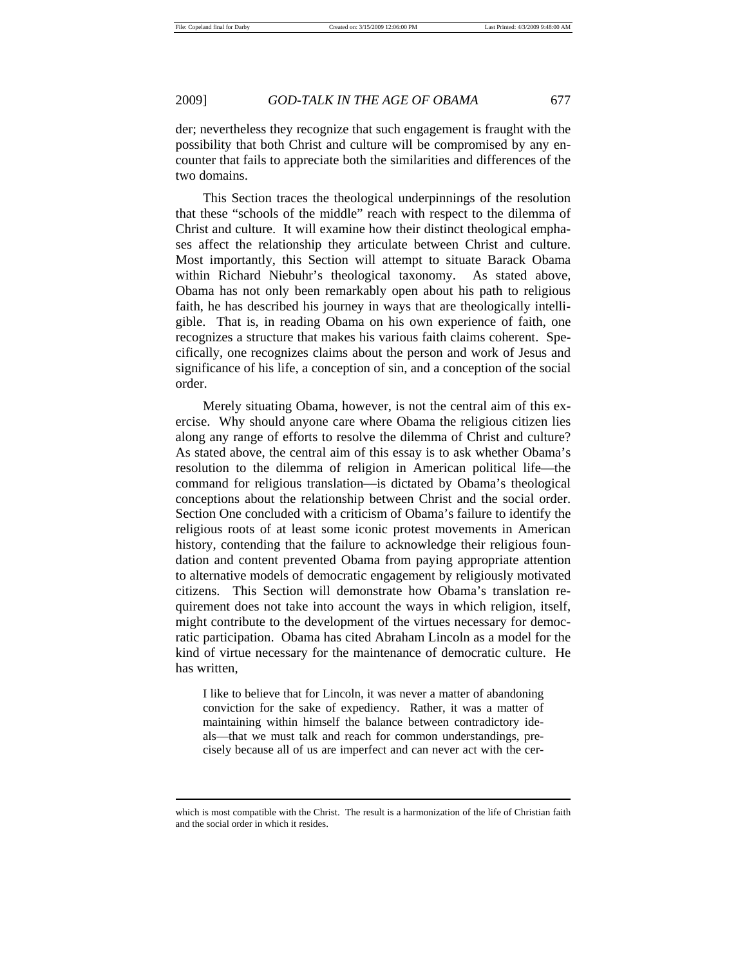# 2009] *GOD-TALK IN THE AGE OF OBAMA* 677

der; nevertheless they recognize that such engagement is fraught with the possibility that both Christ and culture will be compromised by any encounter that fails to appreciate both the similarities and differences of the two domains.

This Section traces the theological underpinnings of the resolution that these "schools of the middle" reach with respect to the dilemma of Christ and culture. It will examine how their distinct theological emphases affect the relationship they articulate between Christ and culture. Most importantly, this Section will attempt to situate Barack Obama within Richard Niebuhr's theological taxonomy. As stated above, Obama has not only been remarkably open about his path to religious faith, he has described his journey in ways that are theologically intelligible. That is, in reading Obama on his own experience of faith, one recognizes a structure that makes his various faith claims coherent. Specifically, one recognizes claims about the person and work of Jesus and significance of his life, a conception of sin, and a conception of the social order.

Merely situating Obama, however, is not the central aim of this exercise. Why should anyone care where Obama the religious citizen lies along any range of efforts to resolve the dilemma of Christ and culture? As stated above, the central aim of this essay is to ask whether Obama's resolution to the dilemma of religion in American political life—the command for religious translation—is dictated by Obama's theological conceptions about the relationship between Christ and the social order. Section One concluded with a criticism of Obama's failure to identify the religious roots of at least some iconic protest movements in American history, contending that the failure to acknowledge their religious foundation and content prevented Obama from paying appropriate attention to alternative models of democratic engagement by religiously motivated citizens. This Section will demonstrate how Obama's translation requirement does not take into account the ways in which religion, itself, might contribute to the development of the virtues necessary for democratic participation. Obama has cited Abraham Lincoln as a model for the kind of virtue necessary for the maintenance of democratic culture. He has written,

I like to believe that for Lincoln, it was never a matter of abandoning conviction for the sake of expediency. Rather, it was a matter of maintaining within himself the balance between contradictory ideals—that we must talk and reach for common understandings, precisely because all of us are imperfect and can never act with the cer-

which is most compatible with the Christ. The result is a harmonization of the life of Christian faith and the social order in which it resides.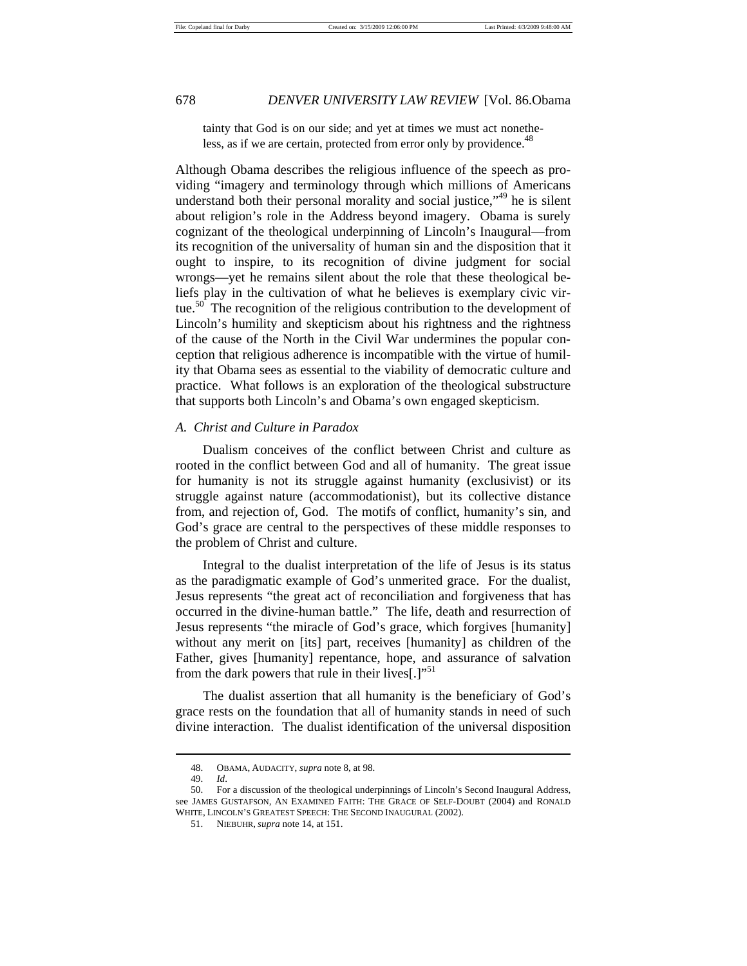tainty that God is on our side; and yet at times we must act nonetheless, as if we are certain, protected from error only by providence.<sup>48</sup>

Although Obama describes the religious influence of the speech as providing "imagery and terminology through which millions of Americans understand both their personal morality and social justice,"<sup>49</sup> he is silent about religion's role in the Address beyond imagery. Obama is surely cognizant of the theological underpinning of Lincoln's Inaugural—from its recognition of the universality of human sin and the disposition that it ought to inspire, to its recognition of divine judgment for social wrongs—yet he remains silent about the role that these theological beliefs play in the cultivation of what he believes is exemplary civic virtue.<sup>50</sup> The recognition of the religious contribution to the development of Lincoln's humility and skepticism about his rightness and the rightness of the cause of the North in the Civil War undermines the popular conception that religious adherence is incompatible with the virtue of humility that Obama sees as essential to the viability of democratic culture and practice. What follows is an exploration of the theological substructure that supports both Lincoln's and Obama's own engaged skepticism.

### *A. Christ and Culture in Paradox*

Dualism conceives of the conflict between Christ and culture as rooted in the conflict between God and all of humanity. The great issue for humanity is not its struggle against humanity (exclusivist) or its struggle against nature (accommodationist), but its collective distance from, and rejection of, God. The motifs of conflict, humanity's sin, and God's grace are central to the perspectives of these middle responses to the problem of Christ and culture.

Integral to the dualist interpretation of the life of Jesus is its status as the paradigmatic example of God's unmerited grace. For the dualist, Jesus represents "the great act of reconciliation and forgiveness that has occurred in the divine-human battle." The life, death and resurrection of Jesus represents "the miracle of God's grace, which forgives [humanity] without any merit on [its] part, receives [humanity] as children of the Father, gives [humanity] repentance, hope, and assurance of salvation from the dark powers that rule in their lives[.] $^{51}$ 

The dualist assertion that all humanity is the beneficiary of God's grace rests on the foundation that all of humanity stands in need of such divine interaction. The dualist identification of the universal disposition

 <sup>48.</sup> OBAMA, AUDACITY, *supra* note 8, at 98.

 <sup>49.</sup> *Id*.

 <sup>50.</sup> For a discussion of the theological underpinnings of Lincoln's Second Inaugural Address, see JAMES GUSTAFSON, AN EXAMINED FAITH: THE GRACE OF SELF-DOUBT (2004) and RONALD WHITE, LINCOLN'S GREATEST SPEECH: THE SECOND INAUGURAL (2002).

 <sup>51.</sup> NIEBUHR, *supra* note 14, at 151.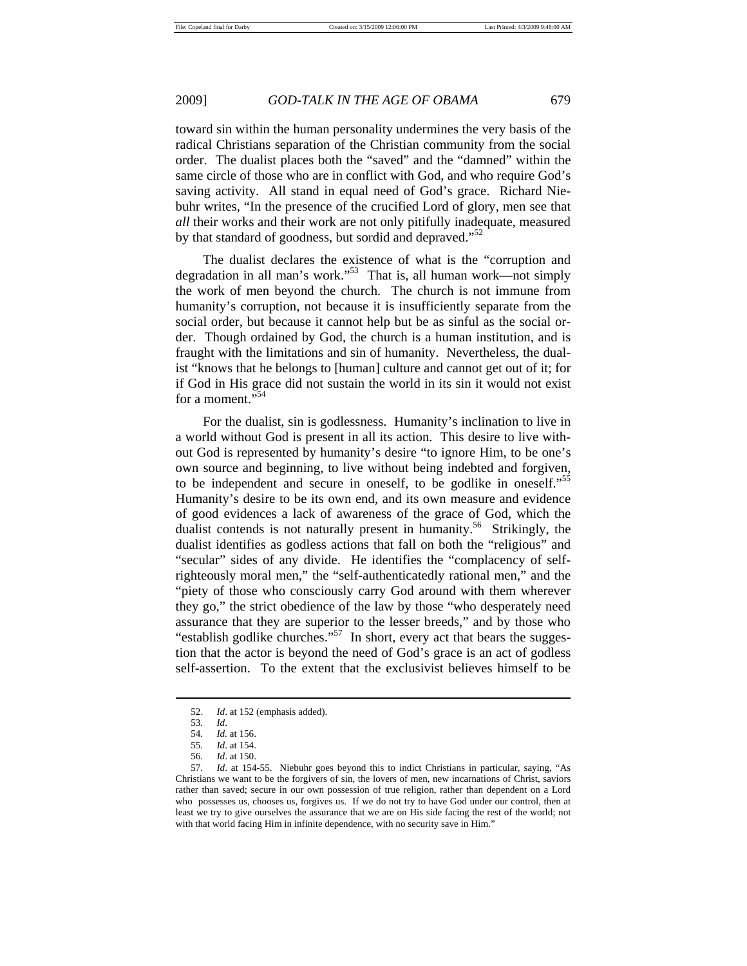toward sin within the human personality undermines the very basis of the radical Christians separation of the Christian community from the social order. The dualist places both the "saved" and the "damned" within the same circle of those who are in conflict with God, and who require God's saving activity. All stand in equal need of God's grace. Richard Niebuhr writes, "In the presence of the crucified Lord of glory, men see that *all* their works and their work are not only pitifully inadequate, measured by that standard of goodness, but sordid and depraved."<sup>52</sup>

The dualist declares the existence of what is the "corruption and degradation in all man's work."53 That is, all human work—not simply the work of men beyond the church. The church is not immune from humanity's corruption, not because it is insufficiently separate from the social order, but because it cannot help but be as sinful as the social order. Though ordained by God, the church is a human institution, and is fraught with the limitations and sin of humanity. Nevertheless, the dualist "knows that he belongs to [human] culture and cannot get out of it; for if God in His grace did not sustain the world in its sin it would not exist for a moment."<sup>54</sup>

For the dualist, sin is godlessness. Humanity's inclination to live in a world without God is present in all its action. This desire to live without God is represented by humanity's desire "to ignore Him, to be one's own source and beginning, to live without being indebted and forgiven, to be independent and secure in oneself, to be godlike in oneself."55 Humanity's desire to be its own end, and its own measure and evidence of good evidences a lack of awareness of the grace of God, which the dualist contends is not naturally present in humanity.<sup>56</sup> Strikingly, the dualist identifies as godless actions that fall on both the "religious" and "secular" sides of any divide. He identifies the "complacency of selfrighteously moral men," the "self-authenticatedly rational men," and the "piety of those who consciously carry God around with them wherever they go," the strict obedience of the law by those "who desperately need assurance that they are superior to the lesser breeds," and by those who "establish godlike churches."<sup>57</sup> In short, every act that bears the suggestion that the actor is beyond the need of God's grace is an act of godless self-assertion. To the extent that the exclusivist believes himself to be

 <sup>52.</sup> *Id*. at 152 (emphasis added).

 <sup>53</sup>*. Id*.

<sup>54</sup>*. Id.* at 156. 55*. Id*. at 154.

<sup>56</sup>*. Id*. at 150.

<sup>57</sup>*. Id*. at 154-55. Niebuhr goes beyond this to indict Christians in particular, saying, "As Christians we want to be the forgivers of sin, the lovers of men, new incarnations of Christ, saviors rather than saved; secure in our own possession of true religion, rather than dependent on a Lord who possesses us, chooses us, forgives us. If we do not try to have God under our control, then at least we try to give ourselves the assurance that we are on His side facing the rest of the world; not with that world facing Him in infinite dependence, with no security save in Him.'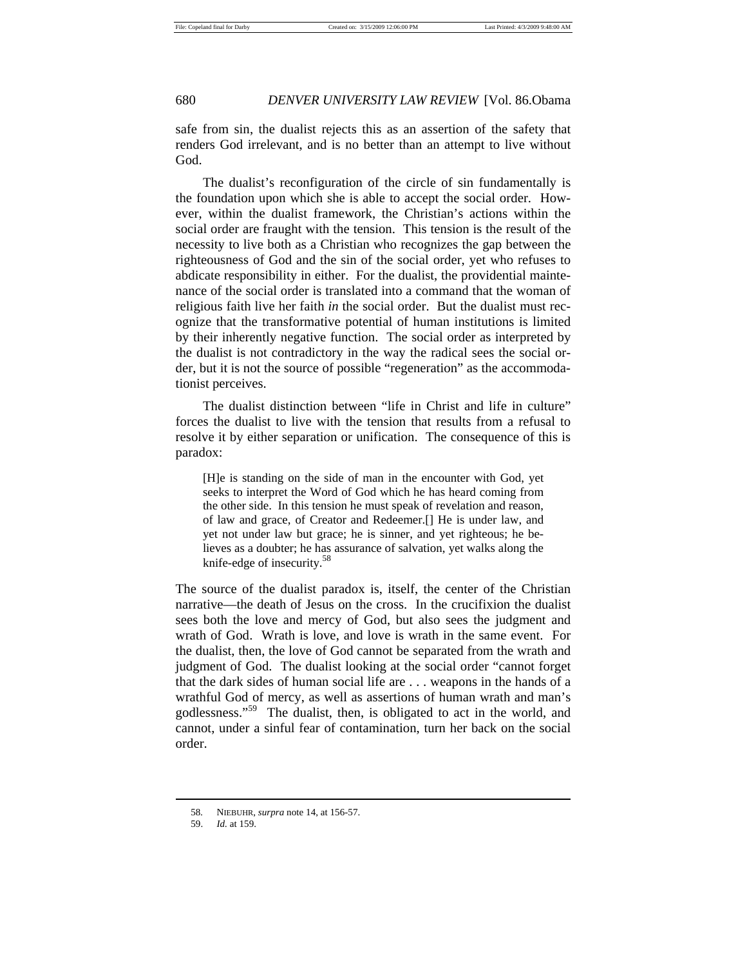safe from sin, the dualist rejects this as an assertion of the safety that renders God irrelevant, and is no better than an attempt to live without God.

The dualist's reconfiguration of the circle of sin fundamentally is the foundation upon which she is able to accept the social order. However, within the dualist framework, the Christian's actions within the social order are fraught with the tension. This tension is the result of the necessity to live both as a Christian who recognizes the gap between the righteousness of God and the sin of the social order, yet who refuses to abdicate responsibility in either. For the dualist, the providential maintenance of the social order is translated into a command that the woman of religious faith live her faith *in* the social order. But the dualist must recognize that the transformative potential of human institutions is limited by their inherently negative function. The social order as interpreted by the dualist is not contradictory in the way the radical sees the social order, but it is not the source of possible "regeneration" as the accommodationist perceives.

The dualist distinction between "life in Christ and life in culture" forces the dualist to live with the tension that results from a refusal to resolve it by either separation or unification. The consequence of this is paradox:

[H]e is standing on the side of man in the encounter with God, yet seeks to interpret the Word of God which he has heard coming from the other side. In this tension he must speak of revelation and reason, of law and grace, of Creator and Redeemer.[] He is under law, and yet not under law but grace; he is sinner, and yet righteous; he believes as a doubter; he has assurance of salvation, yet walks along the knife-edge of insecurity.<sup>58</sup>

The source of the dualist paradox is, itself, the center of the Christian narrative—the death of Jesus on the cross. In the crucifixion the dualist sees both the love and mercy of God, but also sees the judgment and wrath of God. Wrath is love, and love is wrath in the same event. For the dualist, then, the love of God cannot be separated from the wrath and judgment of God. The dualist looking at the social order "cannot forget that the dark sides of human social life are . . . weapons in the hands of a wrathful God of mercy, as well as assertions of human wrath and man's godlessness."59 The dualist, then, is obligated to act in the world, and cannot, under a sinful fear of contamination, turn her back on the social order.

 <sup>58</sup>*.* NIEBUHR, *surpra* note 14, at 156-57.

 <sup>59.</sup> *Id.* at 159.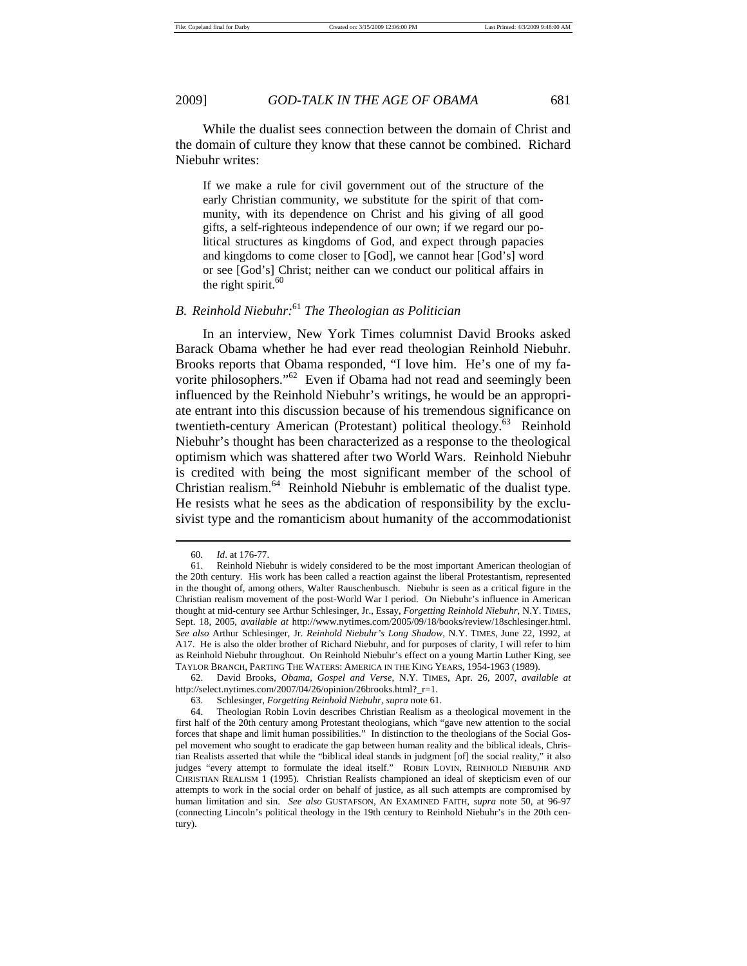While the dualist sees connection between the domain of Christ and the domain of culture they know that these cannot be combined. Richard Niebuhr writes:

If we make a rule for civil government out of the structure of the early Christian community, we substitute for the spirit of that community, with its dependence on Christ and his giving of all good gifts, a self-righteous independence of our own; if we regard our political structures as kingdoms of God, and expect through papacies and kingdoms to come closer to [God], we cannot hear [God's] word or see [God's] Christ; neither can we conduct our political affairs in the right spirit. $60$ 

## *B. Reinhold Niebuhr:*<sup>61</sup> *The Theologian as Politician*

In an interview, New York Times columnist David Brooks asked Barack Obama whether he had ever read theologian Reinhold Niebuhr. Brooks reports that Obama responded, "I love him. He's one of my favorite philosophers."62 Even if Obama had not read and seemingly been influenced by the Reinhold Niebuhr's writings, he would be an appropriate entrant into this discussion because of his tremendous significance on twentieth-century American (Protestant) political theology.<sup>63</sup> Reinhold Niebuhr's thought has been characterized as a response to the theological optimism which was shattered after two World Wars. Reinhold Niebuhr is credited with being the most significant member of the school of Christian realism.<sup>64</sup> Reinhold Niebuhr is emblematic of the dualist type. He resists what he sees as the abdication of responsibility by the exclusivist type and the romanticism about humanity of the accommodationist

 $\overline{a}$ 

 62. David Brooks, *Obama, Gospel and Verse*, N.Y. TIMES, Apr. 26, 2007, *available at* http://select.nytimes.com/2007/04/26/opinion/26brooks.html?\_r=1.

 <sup>60</sup>*. Id*. at 176-77.

 <sup>61.</sup> Reinhold Niebuhr is widely considered to be the most important American theologian of the 20th century. His work has been called a reaction against the liberal Protestantism, represented in the thought of, among others, Walter Rauschenbusch. Niebuhr is seen as a critical figure in the Christian realism movement of the post-World War I period. On Niebuhr's influence in American thought at mid-century see Arthur Schlesinger, Jr., Essay, *Forgetting Reinhold Niebuhr*, N.Y. TIMES, Sept. 18, 2005, *available at* http://www.nytimes.com/2005/09/18/books/review/18schlesinger.html. *See also* Arthur Schlesinger, Jr. *Reinhold Niebuhr's Long Shadow*, N.Y. TIMES, June 22, 1992, at A17. He is also the older brother of Richard Niebuhr, and for purposes of clarity, I will refer to him as Reinhold Niebuhr throughout. On Reinhold Niebuhr's effect on a young Martin Luther King, see TAYLOR BRANCH, PARTING THE WATERS: AMERICA IN THE KING YEARS, 1954-1963 (1989).

 <sup>63.</sup> Schlesinger, *Forgetting Reinhold Niebuhr*, *supra* note 61.

 <sup>64.</sup> Theologian Robin Lovin describes Christian Realism as a theological movement in the first half of the 20th century among Protestant theologians, which "gave new attention to the social forces that shape and limit human possibilities." In distinction to the theologians of the Social Gospel movement who sought to eradicate the gap between human reality and the biblical ideals, Christian Realists asserted that while the "biblical ideal stands in judgment [of] the social reality," it also judges "every attempt to formulate the ideal itself." ROBIN LOVIN, REINHOLD NIEBUHR AND CHRISTIAN REALISM 1 (1995). Christian Realists championed an ideal of skepticism even of our attempts to work in the social order on behalf of justice, as all such attempts are compromised by human limitation and sin. *See also* GUSTAFSON, AN EXAMINED FAITH, *supra* note 50, at 96-97 (connecting Lincoln's political theology in the 19th century to Reinhold Niebuhr's in the 20th century).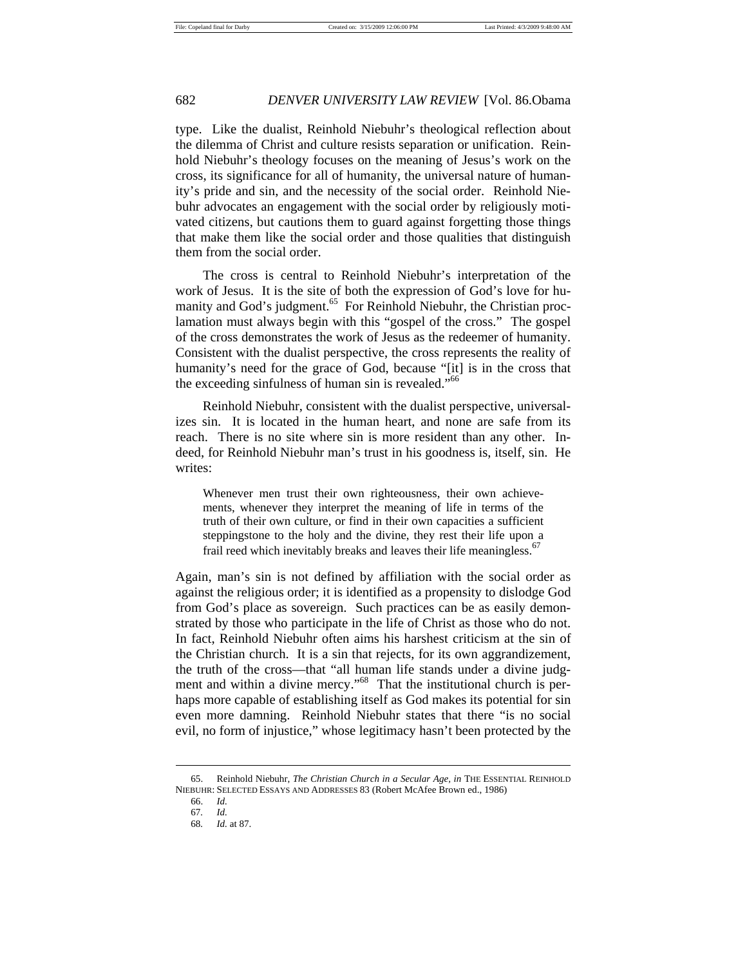type. Like the dualist, Reinhold Niebuhr's theological reflection about the dilemma of Christ and culture resists separation or unification. Reinhold Niebuhr's theology focuses on the meaning of Jesus's work on the cross, its significance for all of humanity, the universal nature of humanity's pride and sin, and the necessity of the social order. Reinhold Niebuhr advocates an engagement with the social order by religiously motivated citizens, but cautions them to guard against forgetting those things that make them like the social order and those qualities that distinguish them from the social order.

The cross is central to Reinhold Niebuhr's interpretation of the work of Jesus. It is the site of both the expression of God's love for humanity and God's judgment.<sup>65</sup> For Reinhold Niebuhr, the Christian proclamation must always begin with this "gospel of the cross." The gospel of the cross demonstrates the work of Jesus as the redeemer of humanity. Consistent with the dualist perspective, the cross represents the reality of humanity's need for the grace of God, because "[it] is in the cross that the exceeding sinfulness of human sin is revealed."<sup>66</sup>

Reinhold Niebuhr, consistent with the dualist perspective, universalizes sin. It is located in the human heart, and none are safe from its reach. There is no site where sin is more resident than any other. Indeed, for Reinhold Niebuhr man's trust in his goodness is, itself, sin. He writes:

Whenever men trust their own righteousness, their own achievements, whenever they interpret the meaning of life in terms of the truth of their own culture, or find in their own capacities a sufficient steppingstone to the holy and the divine, they rest their life upon a frail reed which inevitably breaks and leaves their life meaningless.<sup>67</sup>

Again, man's sin is not defined by affiliation with the social order as against the religious order; it is identified as a propensity to dislodge God from God's place as sovereign. Such practices can be as easily demonstrated by those who participate in the life of Christ as those who do not. In fact, Reinhold Niebuhr often aims his harshest criticism at the sin of the Christian church. It is a sin that rejects, for its own aggrandizement, the truth of the cross—that "all human life stands under a divine judgment and within a divine mercy."<sup>68</sup> That the institutional church is perhaps more capable of establishing itself as God makes its potential for sin even more damning. Reinhold Niebuhr states that there "is no social evil, no form of injustice," whose legitimacy hasn't been protected by the

 <sup>65.</sup> Reinhold Niebuhr, *The Christian Church in a Secular Age, in* THE ESSENTIAL REINHOLD NIEBUHR: SELECTED ESSAYS AND ADDRESSES 83 (Robert McAfee Brown ed., 1986)

 <sup>66.</sup> *Id.*

 <sup>67</sup>*. Id.*

<sup>68</sup>*. Id.* at 87.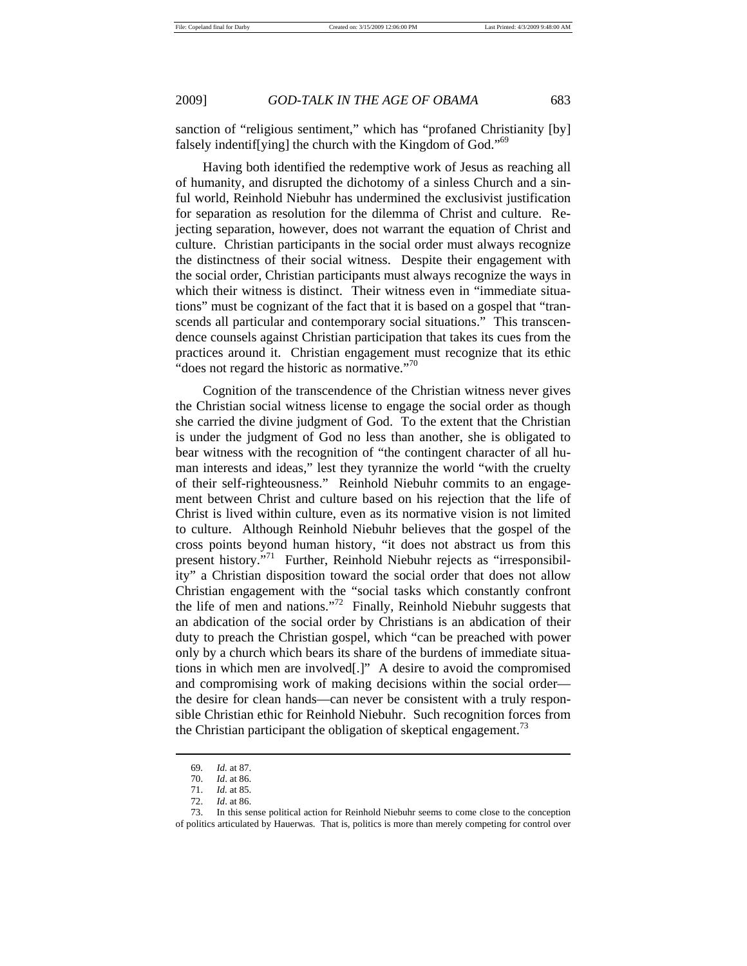sanction of "religious sentiment," which has "profaned Christianity [by] falsely indentif[ying] the church with the Kingdom of God."<sup>69</sup>

Having both identified the redemptive work of Jesus as reaching all of humanity, and disrupted the dichotomy of a sinless Church and a sinful world, Reinhold Niebuhr has undermined the exclusivist justification for separation as resolution for the dilemma of Christ and culture. Rejecting separation, however, does not warrant the equation of Christ and culture. Christian participants in the social order must always recognize the distinctness of their social witness. Despite their engagement with the social order, Christian participants must always recognize the ways in which their witness is distinct. Their witness even in "immediate situations" must be cognizant of the fact that it is based on a gospel that "transcends all particular and contemporary social situations." This transcendence counsels against Christian participation that takes its cues from the practices around it. Christian engagement must recognize that its ethic "does not regard the historic as normative."<sup>70</sup>

Cognition of the transcendence of the Christian witness never gives the Christian social witness license to engage the social order as though she carried the divine judgment of God. To the extent that the Christian is under the judgment of God no less than another, she is obligated to bear witness with the recognition of "the contingent character of all human interests and ideas," lest they tyrannize the world "with the cruelty of their self-righteousness." Reinhold Niebuhr commits to an engagement between Christ and culture based on his rejection that the life of Christ is lived within culture, even as its normative vision is not limited to culture. Although Reinhold Niebuhr believes that the gospel of the cross points beyond human history, "it does not abstract us from this present history."<sup>71</sup> Further, Reinhold Niebuhr rejects as "irresponsibility" a Christian disposition toward the social order that does not allow Christian engagement with the "social tasks which constantly confront the life of men and nations."<sup>72</sup> Finally, Reinhold Niebuhr suggests that an abdication of the social order by Christians is an abdication of their duty to preach the Christian gospel, which "can be preached with power only by a church which bears its share of the burdens of immediate situations in which men are involved[.]" A desire to avoid the compromised and compromising work of making decisions within the social order the desire for clean hands—can never be consistent with a truly responsible Christian ethic for Reinhold Niebuhr. Such recognition forces from the Christian participant the obligation of skeptical engagement.<sup>73</sup>

<sup>69</sup>*. Id.* at 87.

 <sup>70.</sup> *Id*. at 86.

 <sup>71.</sup> *Id.* at 85.

 <sup>72.</sup> *Id*. at 86.

 <sup>73.</sup> In this sense political action for Reinhold Niebuhr seems to come close to the conception of politics articulated by Hauerwas. That is, politics is more than merely competing for control over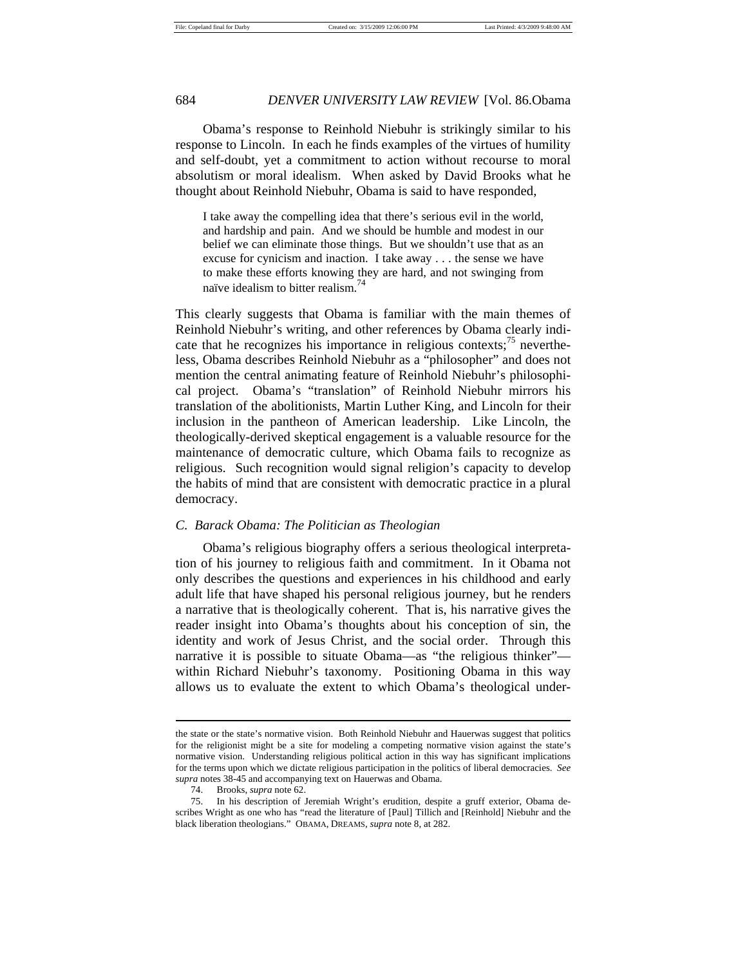Obama's response to Reinhold Niebuhr is strikingly similar to his response to Lincoln. In each he finds examples of the virtues of humility and self-doubt, yet a commitment to action without recourse to moral absolutism or moral idealism. When asked by David Brooks what he thought about Reinhold Niebuhr, Obama is said to have responded,

I take away the compelling idea that there's serious evil in the world, and hardship and pain. And we should be humble and modest in our belief we can eliminate those things. But we shouldn't use that as an excuse for cynicism and inaction. I take away . . . the sense we have to make these efforts knowing they are hard, and not swinging from naïve idealism to bitter realism.<sup>74</sup>

This clearly suggests that Obama is familiar with the main themes of Reinhold Niebuhr's writing, and other references by Obama clearly indicate that he recognizes his importance in religious contexts;<sup>75</sup> nevertheless, Obama describes Reinhold Niebuhr as a "philosopher" and does not mention the central animating feature of Reinhold Niebuhr's philosophical project. Obama's "translation" of Reinhold Niebuhr mirrors his translation of the abolitionists, Martin Luther King, and Lincoln for their inclusion in the pantheon of American leadership. Like Lincoln, the theologically-derived skeptical engagement is a valuable resource for the maintenance of democratic culture, which Obama fails to recognize as religious. Such recognition would signal religion's capacity to develop the habits of mind that are consistent with democratic practice in a plural democracy.

### *C. Barack Obama: The Politician as Theologian*

Obama's religious biography offers a serious theological interpretation of his journey to religious faith and commitment. In it Obama not only describes the questions and experiences in his childhood and early adult life that have shaped his personal religious journey, but he renders a narrative that is theologically coherent. That is, his narrative gives the reader insight into Obama's thoughts about his conception of sin, the identity and work of Jesus Christ, and the social order. Through this narrative it is possible to situate Obama—as "the religious thinker" within Richard Niebuhr's taxonomy. Positioning Obama in this way allows us to evaluate the extent to which Obama's theological under-

the state or the state's normative vision. Both Reinhold Niebuhr and Hauerwas suggest that politics for the religionist might be a site for modeling a competing normative vision against the state's normative vision. Understanding religious political action in this way has significant implications for the terms upon which we dictate religious participation in the politics of liberal democracies. *See supra* notes 38-45 and accompanying text on Hauerwas and Obama.

 <sup>74.</sup> Brooks, *supra* note 62.

 <sup>75.</sup> In his description of Jeremiah Wright's erudition, despite a gruff exterior, Obama describes Wright as one who has "read the literature of [Paul] Tillich and [Reinhold] Niebuhr and the black liberation theologians." OBAMA, DREAMS, *supra* note 8, at 282.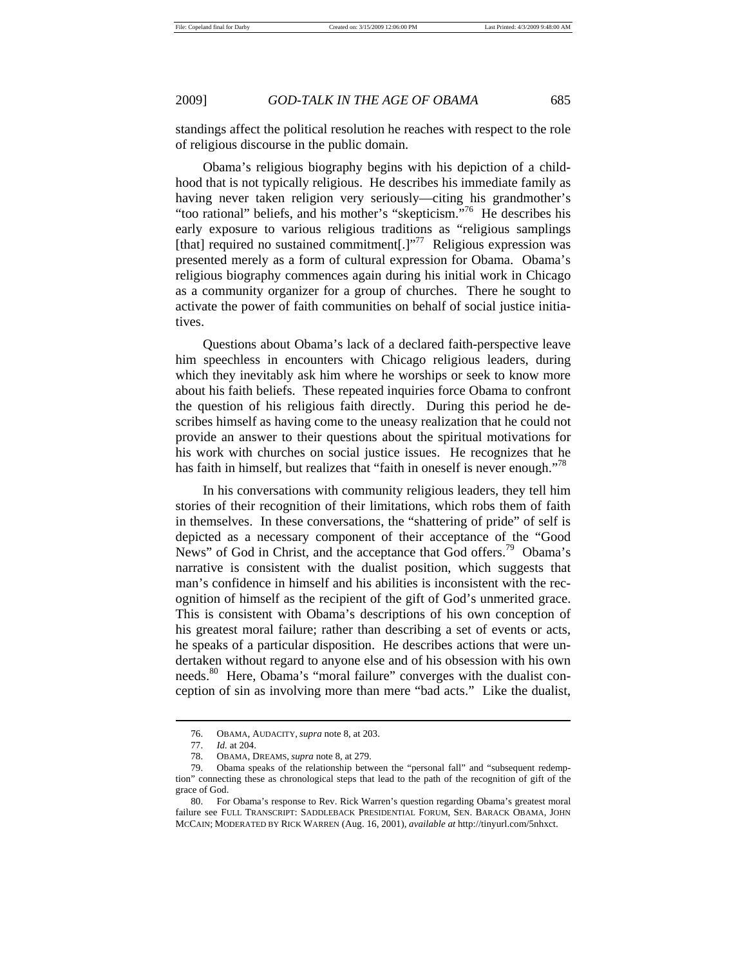standings affect the political resolution he reaches with respect to the role of religious discourse in the public domain.

Obama's religious biography begins with his depiction of a childhood that is not typically religious. He describes his immediate family as having never taken religion very seriously—citing his grandmother's "too rational" beliefs, and his mother's "skepticism."<sup>76</sup> He describes his early exposure to various religious traditions as "religious samplings [that] required no sustained commitment[.]"<sup>77</sup> Religious expression was presented merely as a form of cultural expression for Obama. Obama's religious biography commences again during his initial work in Chicago as a community organizer for a group of churches. There he sought to activate the power of faith communities on behalf of social justice initiatives.

Questions about Obama's lack of a declared faith-perspective leave him speechless in encounters with Chicago religious leaders, during which they inevitably ask him where he worships or seek to know more about his faith beliefs. These repeated inquiries force Obama to confront the question of his religious faith directly. During this period he describes himself as having come to the uneasy realization that he could not provide an answer to their questions about the spiritual motivations for his work with churches on social justice issues. He recognizes that he has faith in himself, but realizes that "faith in oneself is never enough."<sup>78</sup>

In his conversations with community religious leaders, they tell him stories of their recognition of their limitations, which robs them of faith in themselves. In these conversations, the "shattering of pride" of self is depicted as a necessary component of their acceptance of the "Good News" of God in Christ, and the acceptance that God offers.<sup>79</sup> Obama's narrative is consistent with the dualist position, which suggests that man's confidence in himself and his abilities is inconsistent with the recognition of himself as the recipient of the gift of God's unmerited grace. This is consistent with Obama's descriptions of his own conception of his greatest moral failure; rather than describing a set of events or acts, he speaks of a particular disposition. He describes actions that were undertaken without regard to anyone else and of his obsession with his own needs.<sup>80</sup> Here, Obama's "moral failure" converges with the dualist conception of sin as involving more than mere "bad acts." Like the dualist,

 <sup>76.</sup> OBAMA, AUDACITY, *supra* note 8, at 203.

 <sup>77.</sup> *Id.* at 204.

 <sup>78.</sup> OBAMA, DREAMS, *supra* note 8, at 279.

 <sup>79.</sup> Obama speaks of the relationship between the "personal fall" and "subsequent redemption" connecting these as chronological steps that lead to the path of the recognition of gift of the grace of God.

 <sup>80.</sup> For Obama's response to Rev. Rick Warren's question regarding Obama's greatest moral failure see FULL TRANSCRIPT: SADDLEBACK PRESIDENTIAL FORUM, SEN. BARACK OBAMA, JOHN MCCAIN; MODERATED BY RICK WARREN (Aug. 16, 2001), *available at* http://tinyurl.com/5nhxct.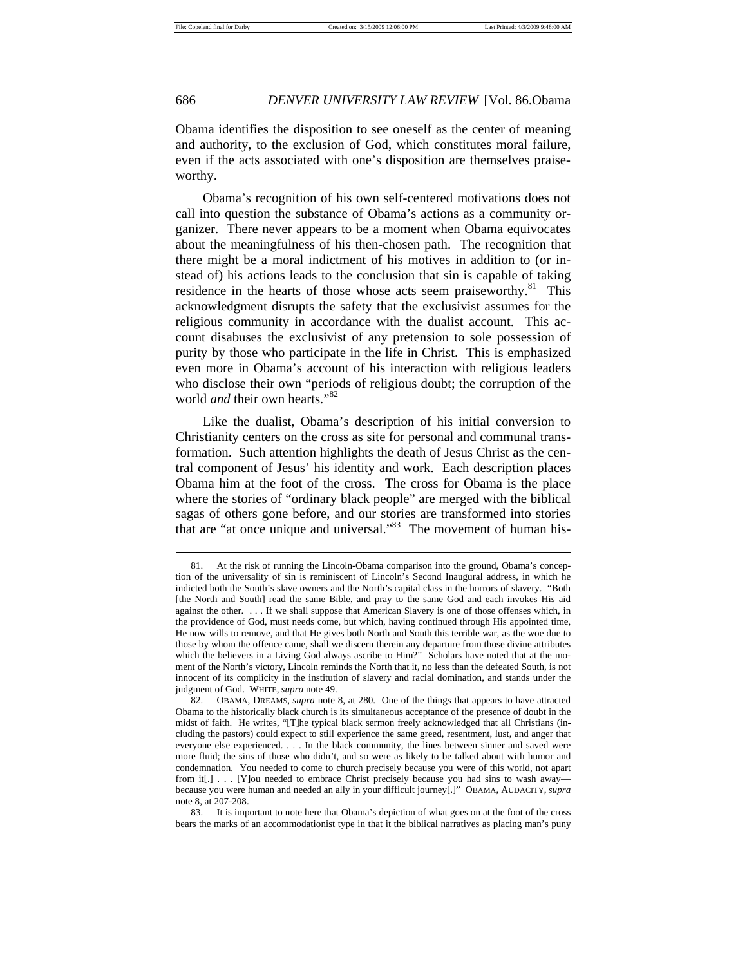## 686 *DENVER UNIVERSITY LAW REVIEW* [Vol. 86.Obama

Obama identifies the disposition to see oneself as the center of meaning and authority, to the exclusion of God, which constitutes moral failure, even if the acts associated with one's disposition are themselves praiseworthy.

Obama's recognition of his own self-centered motivations does not call into question the substance of Obama's actions as a community organizer. There never appears to be a moment when Obama equivocates about the meaningfulness of his then-chosen path. The recognition that there might be a moral indictment of his motives in addition to (or instead of) his actions leads to the conclusion that sin is capable of taking residence in the hearts of those whose acts seem praiseworthy.<sup>81</sup> This acknowledgment disrupts the safety that the exclusivist assumes for the religious community in accordance with the dualist account. This account disabuses the exclusivist of any pretension to sole possession of purity by those who participate in the life in Christ. This is emphasized even more in Obama's account of his interaction with religious leaders who disclose their own "periods of religious doubt; the corruption of the world *and* their own hearts."<sup>82</sup>

Like the dualist, Obama's description of his initial conversion to Christianity centers on the cross as site for personal and communal transformation. Such attention highlights the death of Jesus Christ as the central component of Jesus' his identity and work. Each description places Obama him at the foot of the cross. The cross for Obama is the place where the stories of "ordinary black people" are merged with the biblical sagas of others gone before, and our stories are transformed into stories that are "at once unique and universal."<sup>83</sup> The movement of human his-

 <sup>81.</sup> At the risk of running the Lincoln-Obama comparison into the ground, Obama's conception of the universality of sin is reminiscent of Lincoln's Second Inaugural address, in which he indicted both the South's slave owners and the North's capital class in the horrors of slavery. "Both [the North and South] read the same Bible, and pray to the same God and each invokes His aid against the other. . . . If we shall suppose that American Slavery is one of those offenses which, in the providence of God, must needs come, but which, having continued through His appointed time, He now wills to remove, and that He gives both North and South this terrible war, as the woe due to those by whom the offence came, shall we discern therein any departure from those divine attributes which the believers in a Living God always ascribe to Him?" Scholars have noted that at the moment of the North's victory, Lincoln reminds the North that it, no less than the defeated South, is not innocent of its complicity in the institution of slavery and racial domination, and stands under the judgment of God. WHITE, *supra* note 49.

 <sup>82.</sup> OBAMA, DREAMS, *supra* note 8, at 280. One of the things that appears to have attracted Obama to the historically black church is its simultaneous acceptance of the presence of doubt in the midst of faith. He writes, "[T]he typical black sermon freely acknowledged that all Christians (including the pastors) could expect to still experience the same greed, resentment, lust, and anger that everyone else experienced. . . . In the black community, the lines between sinner and saved were more fluid; the sins of those who didn't, and so were as likely to be talked about with humor and condemnation. You needed to come to church precisely because you were of this world, not apart from it[.] . . . [Y]ou needed to embrace Christ precisely because you had sins to wash awaybecause you were human and needed an ally in your difficult journey[.]" OBAMA, AUDACITY, *supra* note 8, at 207-208.

 <sup>83.</sup> It is important to note here that Obama's depiction of what goes on at the foot of the cross bears the marks of an accommodationist type in that it the biblical narratives as placing man's puny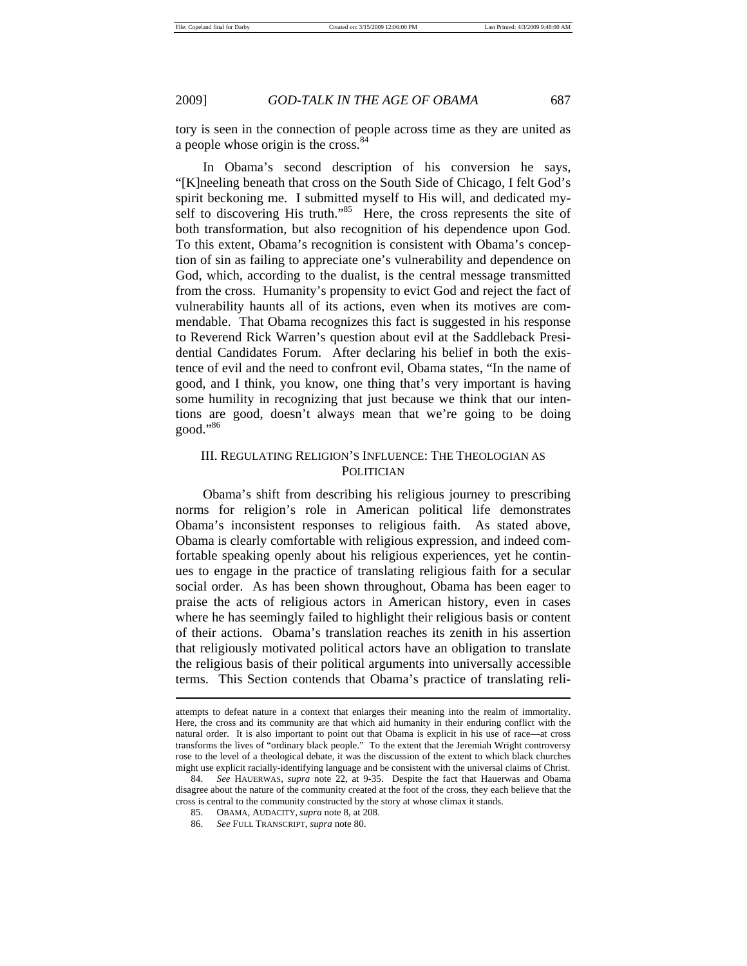tory is seen in the connection of people across time as they are united as a people whose origin is the cross.<sup>84</sup>

In Obama's second description of his conversion he says, "[K]neeling beneath that cross on the South Side of Chicago, I felt God's spirit beckoning me. I submitted myself to His will, and dedicated myself to discovering His truth."<sup>85</sup> Here, the cross represents the site of both transformation, but also recognition of his dependence upon God. To this extent, Obama's recognition is consistent with Obama's conception of sin as failing to appreciate one's vulnerability and dependence on God, which, according to the dualist, is the central message transmitted from the cross. Humanity's propensity to evict God and reject the fact of vulnerability haunts all of its actions, even when its motives are commendable. That Obama recognizes this fact is suggested in his response to Reverend Rick Warren's question about evil at the Saddleback Presidential Candidates Forum. After declaring his belief in both the existence of evil and the need to confront evil, Obama states, "In the name of good, and I think, you know, one thing that's very important is having some humility in recognizing that just because we think that our intentions are good, doesn't always mean that we're going to be doing good."86

## III. REGULATING RELIGION'S INFLUENCE: THE THEOLOGIAN AS POLITICIAN

Obama's shift from describing his religious journey to prescribing norms for religion's role in American political life demonstrates Obama's inconsistent responses to religious faith. As stated above, Obama is clearly comfortable with religious expression, and indeed comfortable speaking openly about his religious experiences, yet he continues to engage in the practice of translating religious faith for a secular social order. As has been shown throughout, Obama has been eager to praise the acts of religious actors in American history, even in cases where he has seemingly failed to highlight their religious basis or content of their actions. Obama's translation reaches its zenith in his assertion that religiously motivated political actors have an obligation to translate the religious basis of their political arguments into universally accessible terms. This Section contends that Obama's practice of translating reli-

attempts to defeat nature in a context that enlarges their meaning into the realm of immortality. Here, the cross and its community are that which aid humanity in their enduring conflict with the natural order. It is also important to point out that Obama is explicit in his use of race—at cross transforms the lives of "ordinary black people." To the extent that the Jeremiah Wright controversy rose to the level of a theological debate, it was the discussion of the extent to which black churches might use explicit racially-identifying language and be consistent with the universal claims of Christ.

 <sup>84.</sup> *See* HAUERWAS, *supra* note 22, at 9-35. Despite the fact that Hauerwas and Obama disagree about the nature of the community created at the foot of the cross, they each believe that the cross is central to the community constructed by the story at whose climax it stands.

 <sup>85.</sup> OBAMA, AUDACITY, *supra* note 8, at 208.

 <sup>86.</sup> *See* FULL TRANSCRIPT, *supra* note 80.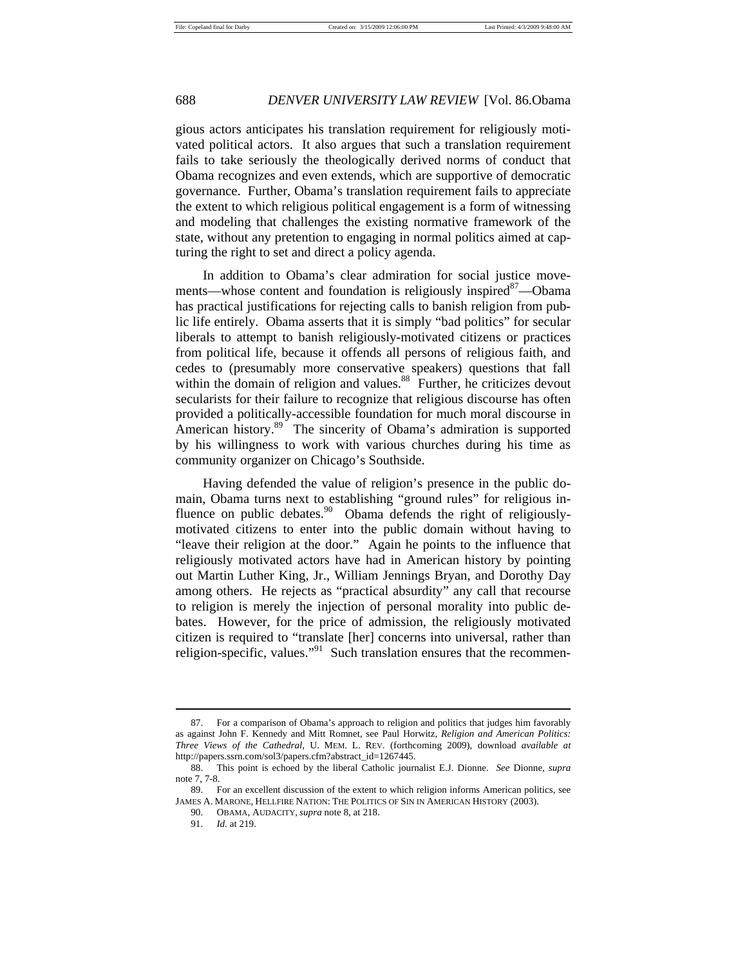gious actors anticipates his translation requirement for religiously motivated political actors. It also argues that such a translation requirement fails to take seriously the theologically derived norms of conduct that Obama recognizes and even extends, which are supportive of democratic governance. Further, Obama's translation requirement fails to appreciate the extent to which religious political engagement is a form of witnessing and modeling that challenges the existing normative framework of the state, without any pretention to engaging in normal politics aimed at capturing the right to set and direct a policy agenda.

In addition to Obama's clear admiration for social justice movements—whose content and foundation is religiously inspired<sup>87</sup>—Obama has practical justifications for rejecting calls to banish religion from public life entirely. Obama asserts that it is simply "bad politics" for secular liberals to attempt to banish religiously-motivated citizens or practices from political life, because it offends all persons of religious faith, and cedes to (presumably more conservative speakers) questions that fall within the domain of religion and values. $88\degree$  Further, he criticizes devout secularists for their failure to recognize that religious discourse has often provided a politically-accessible foundation for much moral discourse in American history.<sup>89</sup> The sincerity of Obama's admiration is supported by his willingness to work with various churches during his time as community organizer on Chicago's Southside.

Having defended the value of religion's presence in the public domain, Obama turns next to establishing "ground rules" for religious influence on public debates. $90$  Obama defends the right of religiouslymotivated citizens to enter into the public domain without having to "leave their religion at the door." Again he points to the influence that religiously motivated actors have had in American history by pointing out Martin Luther King, Jr., William Jennings Bryan, and Dorothy Day among others. He rejects as "practical absurdity" any call that recourse to religion is merely the injection of personal morality into public debates. However, for the price of admission, the religiously motivated citizen is required to "translate [her] concerns into universal, rather than religion-specific, values."<sup>91</sup> Such translation ensures that the recommen-

 <sup>87.</sup> For a comparison of Obama's approach to religion and politics that judges him favorably as against John F. Kennedy and Mitt Romnet, see Paul Horwitz, *Religion and American Politics: Three Views of the Cathedral*, U. MEM. L. REV. (forthcoming 2009), download *available at* http://papers.ssrn.com/sol3/papers.cfm?abstract\_id=1267445.

 <sup>88.</sup> This point is echoed by the liberal Catholic journalist E.J. Dionne. *See* Dionne, *supra*  note 7, 7-8.

 <sup>89.</sup> For an excellent discussion of the extent to which religion informs American politics, see JAMES A. MARONE, HELLFIRE NATION: THE POLITICS OF SIN IN AMERICAN HISTORY (2003).

 <sup>90.</sup> OBAMA, AUDACITY, *supra* note 8, at 218.

 <sup>91.</sup> *Id.* at 219.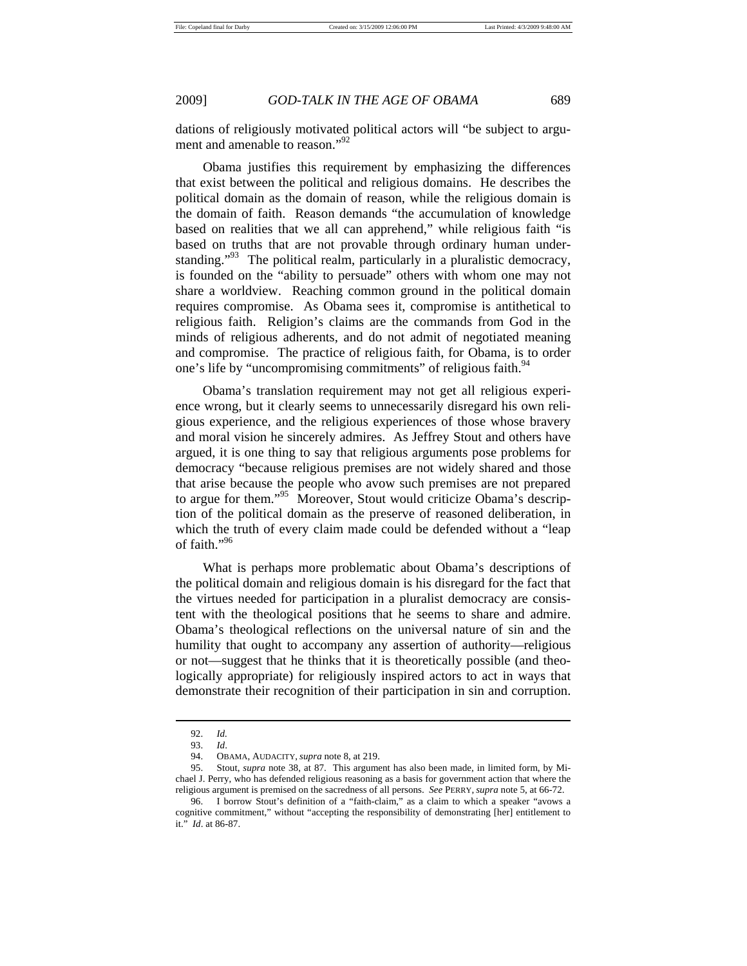dations of religiously motivated political actors will "be subject to argument and amenable to reason."<sup>92</sup>

Obama justifies this requirement by emphasizing the differences that exist between the political and religious domains. He describes the political domain as the domain of reason, while the religious domain is the domain of faith. Reason demands "the accumulation of knowledge based on realities that we all can apprehend," while religious faith "is based on truths that are not provable through ordinary human understanding."<sup>93</sup> The political realm, particularly in a pluralistic democracy, is founded on the "ability to persuade" others with whom one may not share a worldview. Reaching common ground in the political domain requires compromise. As Obama sees it, compromise is antithetical to religious faith. Religion's claims are the commands from God in the minds of religious adherents, and do not admit of negotiated meaning and compromise. The practice of religious faith, for Obama, is to order one's life by "uncompromising commitments" of religious faith.<sup>94</sup>

Obama's translation requirement may not get all religious experience wrong, but it clearly seems to unnecessarily disregard his own religious experience, and the religious experiences of those whose bravery and moral vision he sincerely admires. As Jeffrey Stout and others have argued, it is one thing to say that religious arguments pose problems for democracy "because religious premises are not widely shared and those that arise because the people who avow such premises are not prepared to argue for them."95 Moreover, Stout would criticize Obama's description of the political domain as the preserve of reasoned deliberation, in which the truth of every claim made could be defended without a "leap of faith."96

What is perhaps more problematic about Obama's descriptions of the political domain and religious domain is his disregard for the fact that the virtues needed for participation in a pluralist democracy are consistent with the theological positions that he seems to share and admire. Obama's theological reflections on the universal nature of sin and the humility that ought to accompany any assertion of authority—religious or not—suggest that he thinks that it is theoretically possible (and theologically appropriate) for religiously inspired actors to act in ways that demonstrate their recognition of their participation in sin and corruption.

 <sup>92.</sup> *Id.* 

 <sup>93.</sup> *Id*.

 <sup>94.</sup> OBAMA, AUDACITY, *supra* note 8, at 219.

 <sup>95.</sup> Stout, *supra* note 38, at 87. This argument has also been made, in limited form, by Michael J. Perry, who has defended religious reasoning as a basis for government action that where the religious argument is premised on the sacredness of all persons. *See* PERRY, *supra* note 5, at 66-72.

 <sup>96.</sup> I borrow Stout's definition of a "faith-claim," as a claim to which a speaker "avows a cognitive commitment," without "accepting the responsibility of demonstrating [her] entitlement to it." *Id*. at 86-87.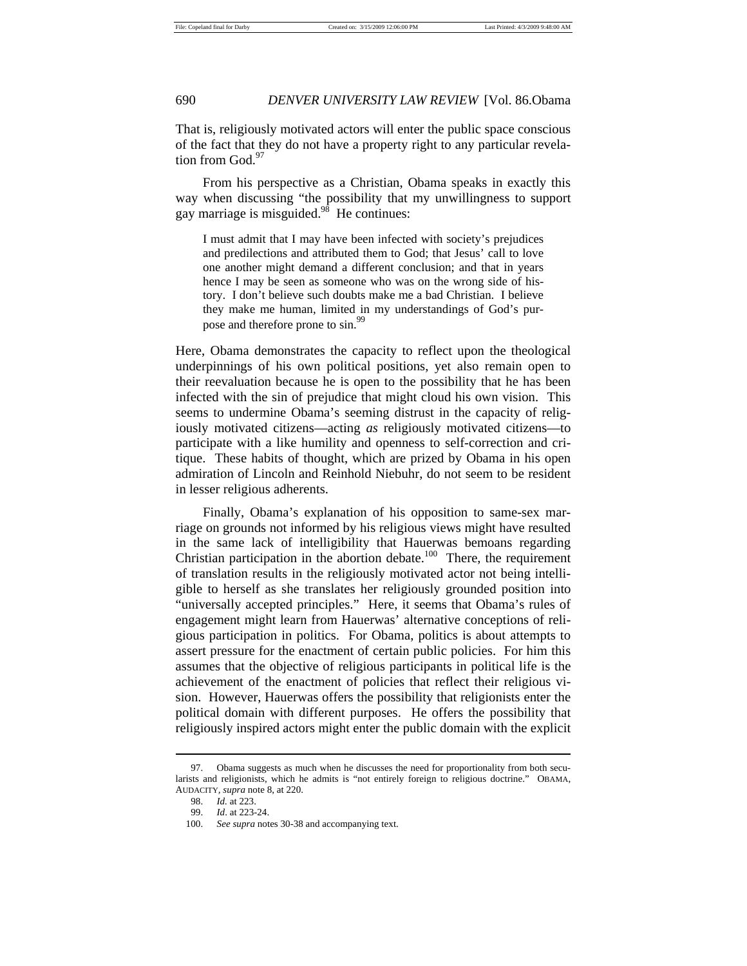That is, religiously motivated actors will enter the public space conscious of the fact that they do not have a property right to any particular revelation from God.<sup>97</sup>

From his perspective as a Christian, Obama speaks in exactly this way when discussing "the possibility that my unwillingness to support gay marriage is misguided. $98$  He continues:

I must admit that I may have been infected with society's prejudices and predilections and attributed them to God; that Jesus' call to love one another might demand a different conclusion; and that in years hence I may be seen as someone who was on the wrong side of history. I don't believe such doubts make me a bad Christian. I believe they make me human, limited in my understandings of God's purpose and therefore prone to sin.<sup>99</sup>

Here, Obama demonstrates the capacity to reflect upon the theological underpinnings of his own political positions, yet also remain open to their reevaluation because he is open to the possibility that he has been infected with the sin of prejudice that might cloud his own vision. This seems to undermine Obama's seeming distrust in the capacity of religiously motivated citizens—acting *as* religiously motivated citizens—to participate with a like humility and openness to self-correction and critique. These habits of thought, which are prized by Obama in his open admiration of Lincoln and Reinhold Niebuhr, do not seem to be resident in lesser religious adherents.

Finally, Obama's explanation of his opposition to same-sex marriage on grounds not informed by his religious views might have resulted in the same lack of intelligibility that Hauerwas bemoans regarding Christian participation in the abortion debate.<sup>100</sup> There, the requirement of translation results in the religiously motivated actor not being intelligible to herself as she translates her religiously grounded position into "universally accepted principles." Here, it seems that Obama's rules of engagement might learn from Hauerwas' alternative conceptions of religious participation in politics. For Obama, politics is about attempts to assert pressure for the enactment of certain public policies. For him this assumes that the objective of religious participants in political life is the achievement of the enactment of policies that reflect their religious vision. However, Hauerwas offers the possibility that religionists enter the political domain with different purposes. He offers the possibility that religiously inspired actors might enter the public domain with the explicit

 <sup>97.</sup> Obama suggests as much when he discusses the need for proportionality from both secularists and religionists, which he admits is "not entirely foreign to religious doctrine." OBAMA, AUDACITY*, supra* note 8, at 220.

 <sup>98.</sup> *Id.* at 223.

 <sup>99.</sup> *Id*. at 223-24.

 <sup>100.</sup> *See supra* notes 30-38 and accompanying text.